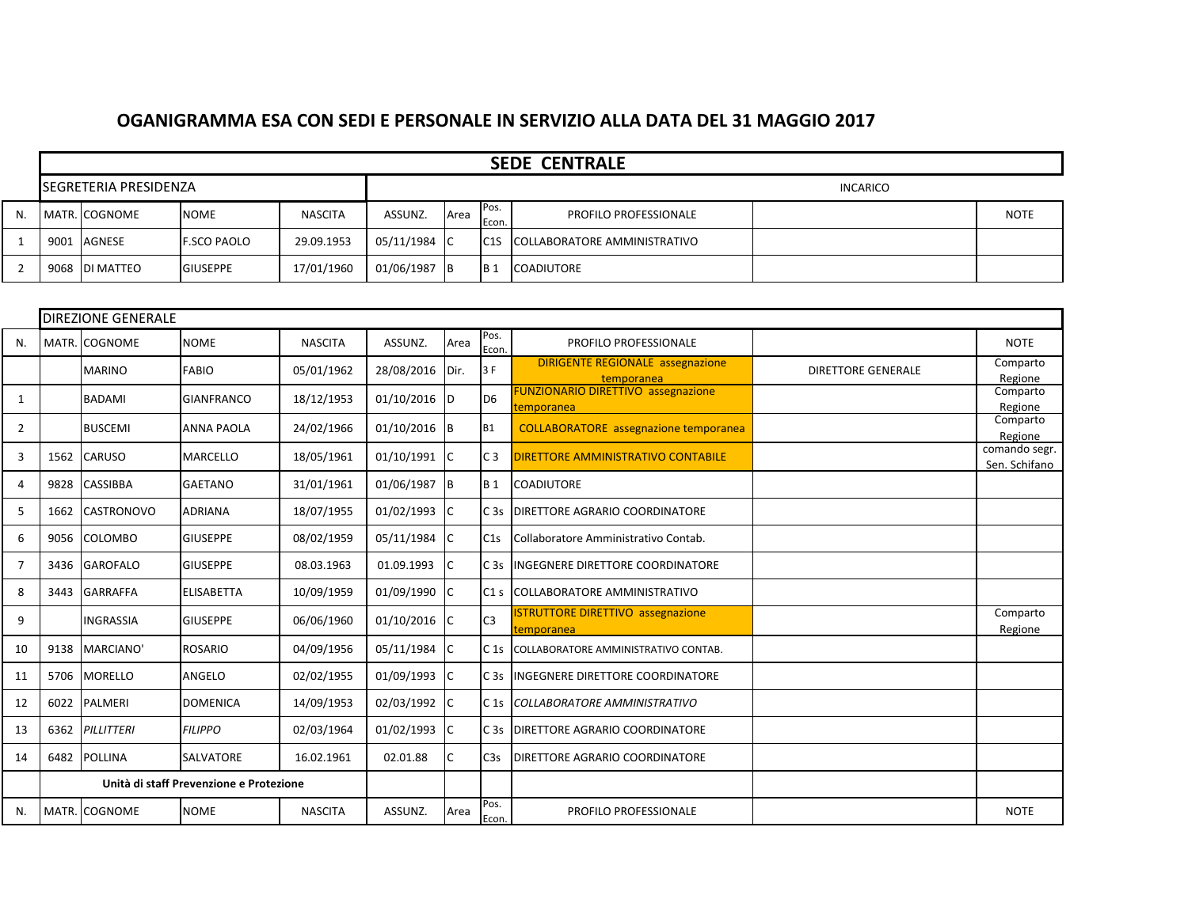## **OGANIGRAMMA ESA CON SEDI E PERSONALE IN SERVIZIO ALLA DATA DEL 31 MAGGIO 2017**

|    |      |                       |                    |                |              |      |                   | <b>SEDE CENTRALE</b>         |                 |             |
|----|------|-----------------------|--------------------|----------------|--------------|------|-------------------|------------------------------|-----------------|-------------|
|    |      | SEGRETERIA PRESIDENZA |                    |                |              |      |                   |                              | <b>INCARICO</b> |             |
| N. |      | MATR. COGNOME         | <b>NOME</b>        | <b>NASCITA</b> | ASSUNZ.      | Area | Pos.<br>Econ.     | <b>PROFILO PROFESSIONALE</b> |                 | <b>NOTE</b> |
|    | 9001 | AGNESE                | <b>F.SCO PAOLO</b> | 29.09.1953     | 05/11/1984 C |      | IC <sub>1</sub> S | COLLABORATORE AMMINISTRATIVO |                 |             |
|    |      | 9068 DI MATTEO        | <b>GIUSEPPE</b>    | 17/01/1960     | 01/06/1987   | - IB | IB <sub>1</sub>   | COADIUTORE                   |                 |             |

|                |      | <b>DIREZIONE GENERALE</b> |                                         |                |              |           |                  |                                                         |                           |                                |
|----------------|------|---------------------------|-----------------------------------------|----------------|--------------|-----------|------------------|---------------------------------------------------------|---------------------------|--------------------------------|
| N.             |      | MATR. COGNOME             | <b>NOME</b>                             | <b>NASCITA</b> | ASSUNZ.      | Area      | Pos.<br>Econ.    | PROFILO PROFESSIONALE                                   |                           | <b>NOTE</b>                    |
|                |      | <b>MARINO</b>             | FABIO                                   | 05/01/1962     | 28/08/2016   | Dir.      | 3 F              | <b>DIRIGENTE REGIONALE assegnazione</b><br>temporanea   | <b>DIRETTORE GENERALE</b> | Comparto<br>Regione            |
| 1              |      | <b>BADAMI</b>             | <b>GIANFRANCO</b>                       | 18/12/1953     | 01/10/2016 D |           | D <sub>6</sub>   | <b>FUNZIONARIO DIRETTIVO assegnazione</b><br>:emporanea |                           | Comparto<br>Regione            |
| 2              |      | <b>BUSCEMI</b>            | <b>ANNA PAOLA</b>                       | 24/02/1966     | 01/10/2016 B |           | <b>B1</b>        | <b>COLLABORATORE</b> assegnazione temporanea            |                           | Comparto<br>Regione            |
| 3              | 1562 | <b>CARUSO</b>             | <b>MARCELLO</b>                         | 18/05/1961     | 01/10/1991   | IC.       | C <sub>3</sub>   | <b>DIRETTORE AMMINISTRATIVO CONTABILE</b>               |                           | comando segr.<br>Sen. Schifano |
| $\overline{4}$ | 9828 | <b>CASSIBBA</b>           | <b>GAETANO</b>                          | 31/01/1961     | 01/06/1987 B |           | <b>B</b> 1       | <b>COADIUTORE</b>                                       |                           |                                |
| 5              | 1662 | <b>CASTRONOVO</b>         | <b>ADRIANA</b>                          | 18/07/1955     | 01/02/1993 C |           | C <sub>3s</sub>  | <b>DIRETTORE AGRARIO COORDINATORE</b>                   |                           |                                |
| 6              | 9056 | <b>COLOMBO</b>            | <b>GIUSEPPE</b>                         | 08/02/1959     | 05/11/1984 C |           | C1s              | Collaboratore Amministrativo Contab.                    |                           |                                |
| $\overline{7}$ | 3436 | <b>GAROFALO</b>           | <b>GIUSEPPE</b>                         | 08.03.1963     | 01.09.1993   | IC        |                  | C 3s INGEGNERE DIRETTORE COORDINATORE                   |                           |                                |
| 8              | 3443 | <b>GARRAFFA</b>           | <b>ELISABETTA</b>                       | 10/09/1959     | 01/09/1990   | IC        | C1 <sub>s</sub>  | COLLABORATORE AMMINISTRATIVO                            |                           |                                |
| 9              |      | <b>INGRASSIA</b>          | <b>GIUSEPPE</b>                         | 06/06/1960     | 01/10/2016   | <b>IC</b> | C <sub>3</sub>   | <b>ISTRUTTORE DIRETTIVO assegnazione</b><br>temporanea  |                           | Comparto<br>Regione            |
| 10             | 9138 | MARCIANO'                 | <b>ROSARIO</b>                          | 04/09/1956     | 05/11/1984 C |           | C <sub>1s</sub>  | COLLABORATORE AMMINISTRATIVO CONTAB.                    |                           |                                |
| 11             | 5706 | <b>MORELLO</b>            | ANGELO                                  | 02/02/1955     | 01/09/1993   | IC.       |                  | C 3s INGEGNERE DIRETTORE COORDINATORE                   |                           |                                |
| 12             | 6022 | <b>PALMERI</b>            | <b>DOMENICA</b>                         | 14/09/1953     | 02/03/1992   | IC        | C <sub>1s</sub>  | COLLABORATORE AMMINISTRATIVO                            |                           |                                |
| 13             | 6362 | PILLITTERI                | <b>FILIPPO</b>                          | 02/03/1964     | 01/02/1993   | -lc       | C <sub>3s</sub>  | <b>DIRETTORE AGRARIO COORDINATORE</b>                   |                           |                                |
| 14             | 6482 | <b>POLLINA</b>            | <b>SALVATORE</b>                        | 16.02.1961     | 02.01.88     |           | C <sub>3</sub> s | <b>DIRETTORE AGRARIO COORDINATORE</b>                   |                           |                                |
|                |      |                           | Unità di staff Prevenzione e Protezione |                |              |           |                  |                                                         |                           |                                |
| N.             |      | MATR. COGNOME             | <b>NOME</b>                             | <b>NASCITA</b> | ASSUNZ.      | Area      | Pos.<br>Econ.    | PROFILO PROFESSIONALE                                   |                           | <b>NOTE</b>                    |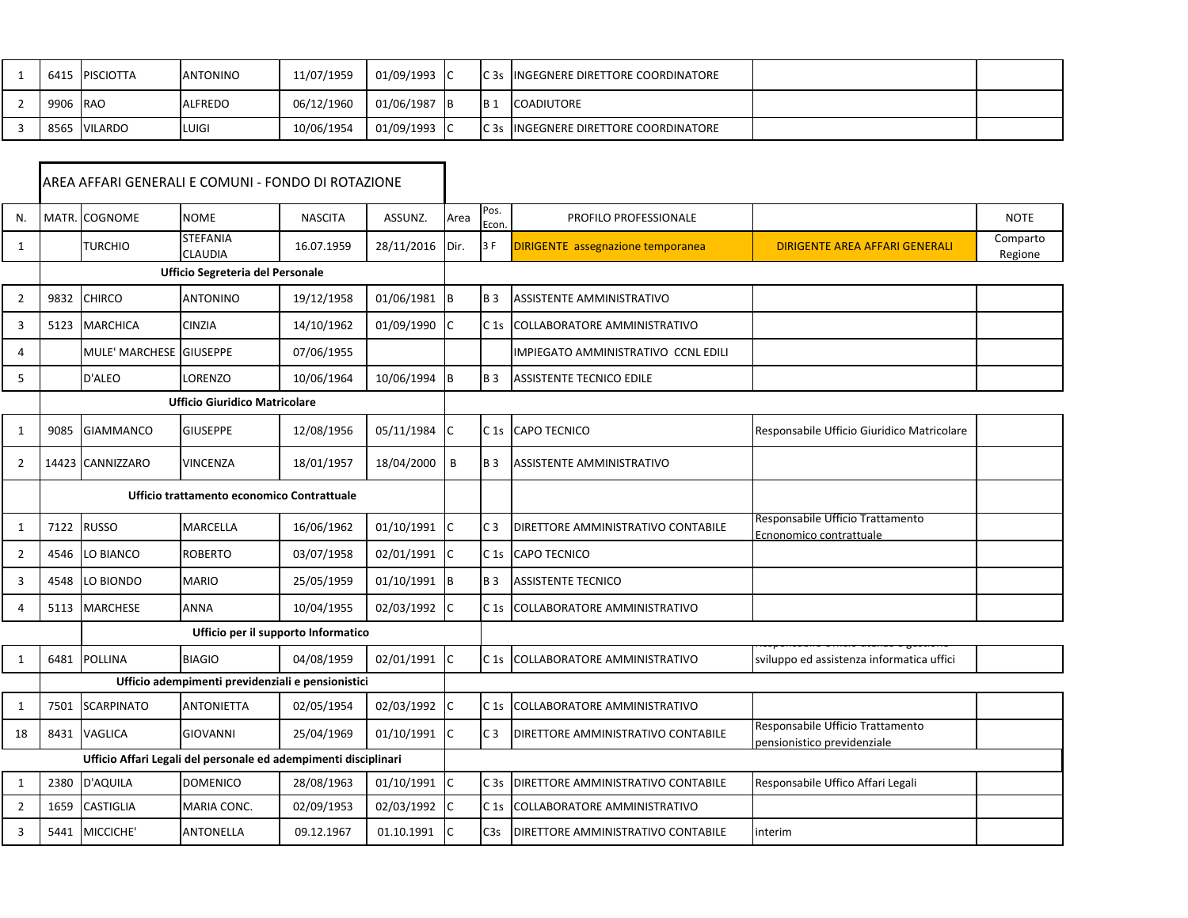|          | 6415 PISCIOTTA | <b>ANTONINO</b> | 11/07/1959 | 01/09/1993 C |      |                 | IC3s INGEGNERE DIRETTORE COORDINATORE |  |
|----------|----------------|-----------------|------------|--------------|------|-----------------|---------------------------------------|--|
| 9906 RAO |                | ALFREDO         | 06/12/1960 | 01/06/1987   | - IB | IB <sub>1</sub> | <b>COADIUTORE</b>                     |  |
|          | 8565 VILARDO   | LUIGI           | 10/06/1954 | 01/09/1993 C |      |                 | IC3s INGEGNERE DIRETTORE COORDINATORE |  |

|                |       |                         | AREA AFFARI GENERALI E COMUNI - FONDO DI ROTAZIONE              |                |            |      |                  |                                           |                                                                 |                     |
|----------------|-------|-------------------------|-----------------------------------------------------------------|----------------|------------|------|------------------|-------------------------------------------|-----------------------------------------------------------------|---------------------|
| N.             | MATR. | <b>COGNOME</b>          | <b>NOME</b>                                                     | <b>NASCITA</b> | ASSUNZ.    | Area | Pos.<br>Econ.    | PROFILO PROFESSIONALE                     |                                                                 | <b>NOTE</b>         |
| 1              |       | <b>TURCHIO</b>          | <b>STEFANIA</b><br><b>CLAUDIA</b>                               | 16.07.1959     | 28/11/2016 | Dir. | 3 F              | <b>DIRIGENTE</b> assegnazione temporanea  | <b>DIRIGENTE AREA AFFARI GENERALI</b>                           | Comparto<br>Regione |
|                |       |                         | <b>Ufficio Segreteria del Personale</b>                         |                |            |      |                  |                                           |                                                                 |                     |
| $\overline{2}$ | 9832  | <b>CHIRCO</b>           | <b>ANTONINO</b>                                                 | 19/12/1958     | 01/06/1981 | B    | <b>B3</b>        | <b>ASSISTENTE AMMINISTRATIVO</b>          |                                                                 |                     |
| 3              | 5123  | <b>MARCHICA</b>         | <b>CINZIA</b>                                                   | 14/10/1962     | 01/09/1990 | C    | C <sub>1s</sub>  | <b>COLLABORATORE AMMINISTRATIVO</b>       |                                                                 |                     |
| 4              |       | MULE' MARCHESE GIUSEPPE |                                                                 | 07/06/1955     |            |      |                  | IMPIEGATO AMMINISTRATIVO CCNL EDILI       |                                                                 |                     |
| 5              |       | D'ALEO                  | LORENZO                                                         | 10/06/1964     | 10/06/1994 | B    | <b>B3</b>        | <b>ASSISTENTE TECNICO EDILE</b>           |                                                                 |                     |
|                |       |                         | <b>Ufficio Giuridico Matricolare</b>                            |                |            |      |                  |                                           |                                                                 |                     |
| 1              | 9085  | <b>GIAMMANCO</b>        | <b>GIUSEPPE</b>                                                 | 12/08/1956     | 05/11/1984 | С    | C <sub>1s</sub>  | <b>CAPO TECNICO</b>                       | Responsabile Ufficio Giuridico Matricolare                      |                     |
| $\overline{2}$ |       | 14423 CANNIZZARO        | <b>VINCENZA</b>                                                 | 18/01/1957     | 18/04/2000 | B    | <b>B3</b>        | ASSISTENTE AMMINISTRATIVO                 |                                                                 |                     |
|                |       |                         | Ufficio trattamento economico Contrattuale                      |                |            |      |                  |                                           |                                                                 |                     |
| $\mathbf{1}$   | 7122  | <b>RUSSO</b>            | <b>MARCELLA</b>                                                 | 16/06/1962     | 01/10/1991 | C    | C <sub>3</sub>   | DIRETTORE AMMINISTRATIVO CONTABILE        | Responsabile Ufficio Trattamento<br>Ecnonomico contrattuale     |                     |
| $\overline{2}$ | 4546  | LO BIANCO               | <b>ROBERTO</b>                                                  | 03/07/1958     | 02/01/1991 | C    | C <sub>1s</sub>  | <b>CAPO TECNICO</b>                       |                                                                 |                     |
| 3              | 4548  | LO BIONDO               | <b>MARIO</b>                                                    | 25/05/1959     | 01/10/1991 | B    | <b>B3</b>        | <b>ASSISTENTE TECNICO</b>                 |                                                                 |                     |
| 4              | 5113  | <b>MARCHESE</b>         | <b>ANNA</b>                                                     | 10/04/1955     | 02/03/1992 | Ċ    | C <sub>1s</sub>  | COLLABORATORE AMMINISTRATIVO              |                                                                 |                     |
|                |       |                         | Ufficio per il supporto Informatico                             |                |            |      |                  |                                           |                                                                 |                     |
| $\mathbf{1}$   | 6481  | <b>POLLINA</b>          | <b>BIAGIO</b>                                                   | 04/08/1959     | 02/01/1991 | C    | C <sub>1s</sub>  | COLLABORATORE AMMINISTRATIVO              | sviluppo ed assistenza informatica uffici                       |                     |
|                |       |                         | Ufficio adempimenti previdenziali e pensionistici               |                |            |      |                  |                                           |                                                                 |                     |
| $\mathbf{1}$   | 7501  | <b>SCARPINATO</b>       | <b>ANTONIETTA</b>                                               | 02/05/1954     | 02/03/1992 | C    | C <sub>1s</sub>  | <b>COLLABORATORE AMMINISTRATIVO</b>       |                                                                 |                     |
| 18             | 8431  | <b>VAGLICA</b>          | <b>GIOVANNI</b>                                                 | 25/04/1969     | 01/10/1991 | C    | C <sub>3</sub>   | DIRETTORE AMMINISTRATIVO CONTABILE        | Responsabile Ufficio Trattamento<br>pensionistico previdenziale |                     |
|                |       |                         | Ufficio Affari Legali del personale ed adempimenti disciplinari |                |            |      |                  |                                           |                                                                 |                     |
| $\mathbf{1}$   | 2380  | <b>D'AQUILA</b>         | <b>DOMENICO</b>                                                 | 28/08/1963     | 01/10/1991 | Ċ    | C <sub>3s</sub>  | <b>DIRETTORE AMMINISTRATIVO CONTABILE</b> | Responsabile Uffico Affari Legali                               |                     |
| $\overline{2}$ | 1659  | <b>CASTIGLIA</b>        | MARIA CONC.                                                     | 02/09/1953     | 02/03/1992 | Ċ    | C <sub>1s</sub>  | <b>COLLABORATORE AMMINISTRATIVO</b>       |                                                                 |                     |
| 3              | 5441  | MICCICHE'               | ANTONELLA                                                       | 09.12.1967     | 01.10.1991 | C    | C <sub>3</sub> s | DIRETTORE AMMINISTRATIVO CONTABILE        | interim                                                         |                     |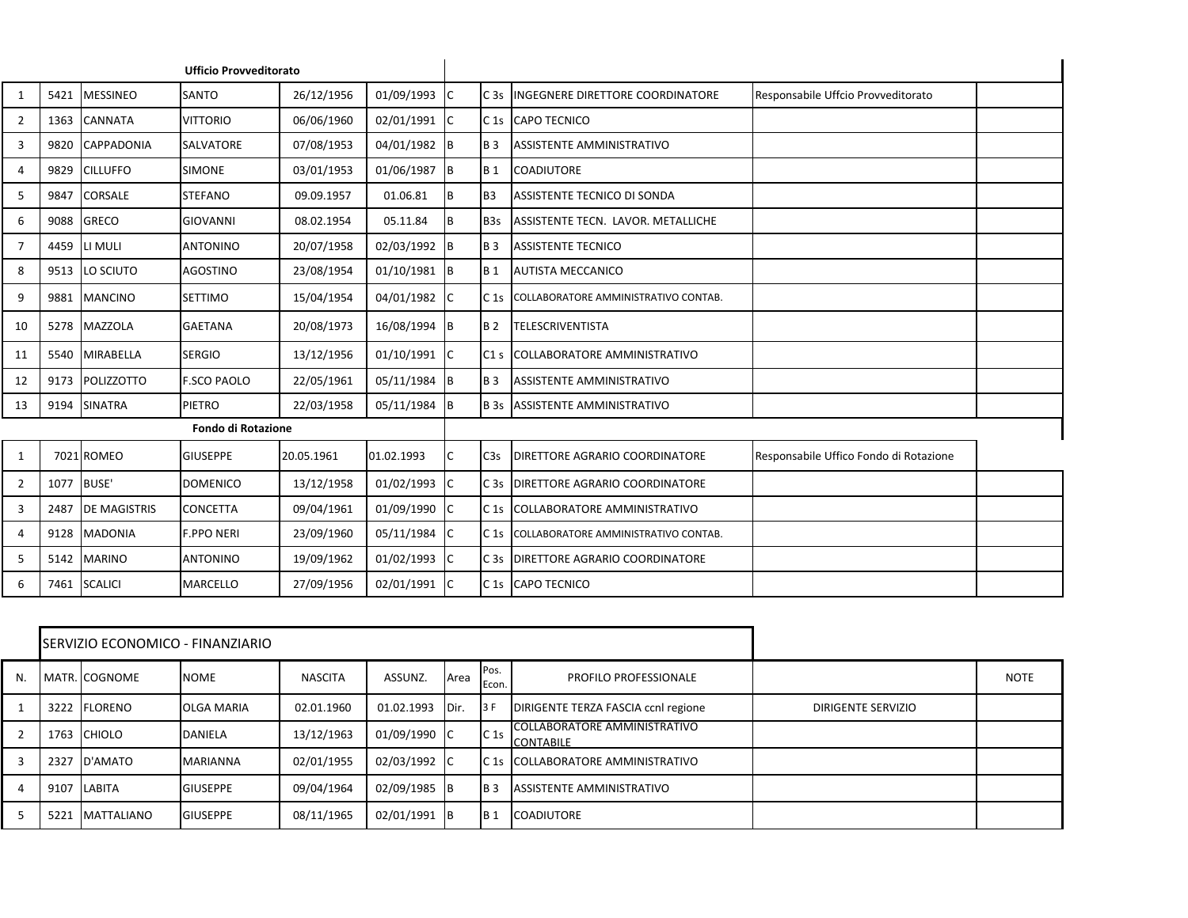|                |            |                     | <b>Ufficio Provveditorato</b> |            |                |     |                  |                                            |                                        |  |
|----------------|------------|---------------------|-------------------------------|------------|----------------|-----|------------------|--------------------------------------------|----------------------------------------|--|
| 1              | 5421       | <b>MESSINEO</b>     | SANTO                         | 26/12/1956 | 01/09/1993 C   |     | C <sub>3s</sub>  | <b>INGEGNERE DIRETTORE COORDINATORE</b>    | Responsabile Uffcio Provveditorato     |  |
| $\overline{2}$ | 1363       | <b>CANNATA</b>      | <b>VITTORIO</b>               | 06/06/1960 | 02/01/1991     | lC. | C <sub>1s</sub>  | <b>CAPO TECNICO</b>                        |                                        |  |
| 3              | 9820       | <b>CAPPADONIA</b>   | SALVATORE                     | 07/08/1953 | 04/01/1982 B   |     | <b>B</b> 3       | <b>ASSISTENTE AMMINISTRATIVO</b>           |                                        |  |
| 4              | 9829       | <b>CILLUFFO</b>     | SIMONE                        | 03/01/1953 | 01/06/1987 B   |     | <b>B</b> 1       | <b>COADIUTORE</b>                          |                                        |  |
| 5              | 9847       | <b>CORSALE</b>      | <b>STEFANO</b>                | 09.09.1957 | 01.06.81       | Iв  | B <sub>3</sub>   | ASSISTENTE TECNICO DI SONDA                |                                        |  |
| 6              | 9088       | <b>GRECO</b>        | <b>GIOVANNI</b>               | 08.02.1954 | 05.11.84       | Iв  | B <sub>3</sub> s | ASSISTENTE TECN. LAVOR. METALLICHE         |                                        |  |
| $\overline{7}$ | 4459       | LI MULI             | <b>ANTONINO</b>               | 20/07/1958 | 02/03/1992 B   |     | <b>B</b> 3       | <b>ASSISTENTE TECNICO</b>                  |                                        |  |
| 8              | 9513       | LO SCIUTO           | <b>AGOSTINO</b>               | 23/08/1954 | $01/10/1981$ B |     | <b>B</b> 1       | <b>AUTISTA MECCANICO</b>                   |                                        |  |
| 9              | 9881       | <b>MANCINO</b>      | <b>SETTIMO</b>                | 15/04/1954 | 04/01/1982 C   |     | C 1s             | COLLABORATORE AMMINISTRATIVO CONTAB.       |                                        |  |
| 10             | 5278       | <b>MAZZOLA</b>      | <b>GAETANA</b>                | 20/08/1973 | 16/08/1994 B   |     | <b>B2</b>        | <b>TELESCRIVENTISTA</b>                    |                                        |  |
| 11             | 5540       | <b>MIRABELLA</b>    | <b>SERGIO</b>                 | 13/12/1956 | 01/10/1991 C   |     | C1 <sub>s</sub>  | COLLABORATORE AMMINISTRATIVO               |                                        |  |
| 12             | 9173       | <b>POLIZZOTTO</b>   | <b>F.SCO PAOLO</b>            | 22/05/1961 | 05/11/1984 B   |     | <b>B3</b>        | <b>ASSISTENTE AMMINISTRATIVO</b>           |                                        |  |
| 13             | 9194       | <b>SINATRA</b>      | PIETRO                        | 22/03/1958 | 05/11/1984 B   |     |                  | <b>B 3s</b> ASSISTENTE AMMINISTRATIVO      |                                        |  |
|                |            |                     | <b>Fondo di Rotazione</b>     |            |                |     |                  |                                            |                                        |  |
| 1              |            | 7021 ROMEO          | <b>GIUSEPPE</b>               | 20.05.1961 | 01.02.1993     | IC  | C <sub>3</sub> s | <b>DIRETTORE AGRARIO COORDINATORE</b>      | Responsabile Uffico Fondo di Rotazione |  |
| $\overline{2}$ | 1077 BUSE' |                     | <b>DOMENICO</b>               | 13/12/1958 | 01/02/1993     | ТC  | C <sub>3s</sub>  | <b>DIRETTORE AGRARIO COORDINATORE</b>      |                                        |  |
| 3              | 2487       | <b>DE MAGISTRIS</b> | CONCETTA                      | 09/04/1961 | 01/09/1990     | Iс  |                  | C 1s COLLABORATORE AMMINISTRATIVO          |                                        |  |
| 4              | 9128       | <b>MADONIA</b>      | <b>F.PPO NERI</b>             | 23/09/1960 | 05/11/1984     | -lc | C <sub>1s</sub>  | COLLABORATORE AMMINISTRATIVO CONTAB.       |                                        |  |
| 5              | 5142       | <b>MARINO</b>       | <b>ANTONINO</b>               | 19/09/1962 | 01/02/1993 C   |     |                  | C 3s <b>DIRETTORE AGRARIO COORDINATORE</b> |                                        |  |
| 6              |            | 7461 SCALICI        | MARCELLO                      | 27/09/1956 | 02/01/1991 C   |     |                  | C 1s CAPO TECNICO                          |                                        |  |

|    |      | ISERVIZIO ECONOMICO - FINANZIARIO |                   |                |              |       |                 |                                                         |                           |             |
|----|------|-----------------------------------|-------------------|----------------|--------------|-------|-----------------|---------------------------------------------------------|---------------------------|-------------|
| N. |      | MATR. COGNOME                     | <b>NOME</b>       | <b>NASCITA</b> | ASSUNZ.      | Area  | Pos.<br>Econ.   | PROFILO PROFESSIONALE                                   |                           | <b>NOTE</b> |
|    |      | 3222 FLORENO                      | <b>OLGA MARIA</b> | 02.01.1960     | 01.02.1993   | IDir. | 3F              | DIRIGENTE TERZA FASCIA ccnl regione                     | <b>DIRIGENTE SERVIZIO</b> |             |
|    |      | 1763 CHIOLO                       | <b>DANIELA</b>    | 13/12/1963     | 01/09/1990 C |       | C <sub>1s</sub> | <b>COLLABORATORE AMMINISTRATIVO</b><br><b>CONTABILE</b> |                           |             |
|    | 2327 | D'AMATO                           | <b>MARIANNA</b>   | 02/01/1955     | 02/03/1992 C |       |                 | IC 15 COLLABORATORE AMMINISTRATIVO                      |                           |             |
| 4  |      | 9107 LABITA                       | <b>GIUSEPPE</b>   | 09/04/1964     | 02/09/1985 B |       | IB <sub>3</sub> | ASSISTENTE AMMINISTRATIVO                               |                           |             |
|    | 5221 | <b>MATTALIANO</b>                 | <b>GIUSEPPE</b>   | 08/11/1965     | 02/01/1991 B |       | IB <sub>1</sub> | <b>COADIUTORE</b>                                       |                           |             |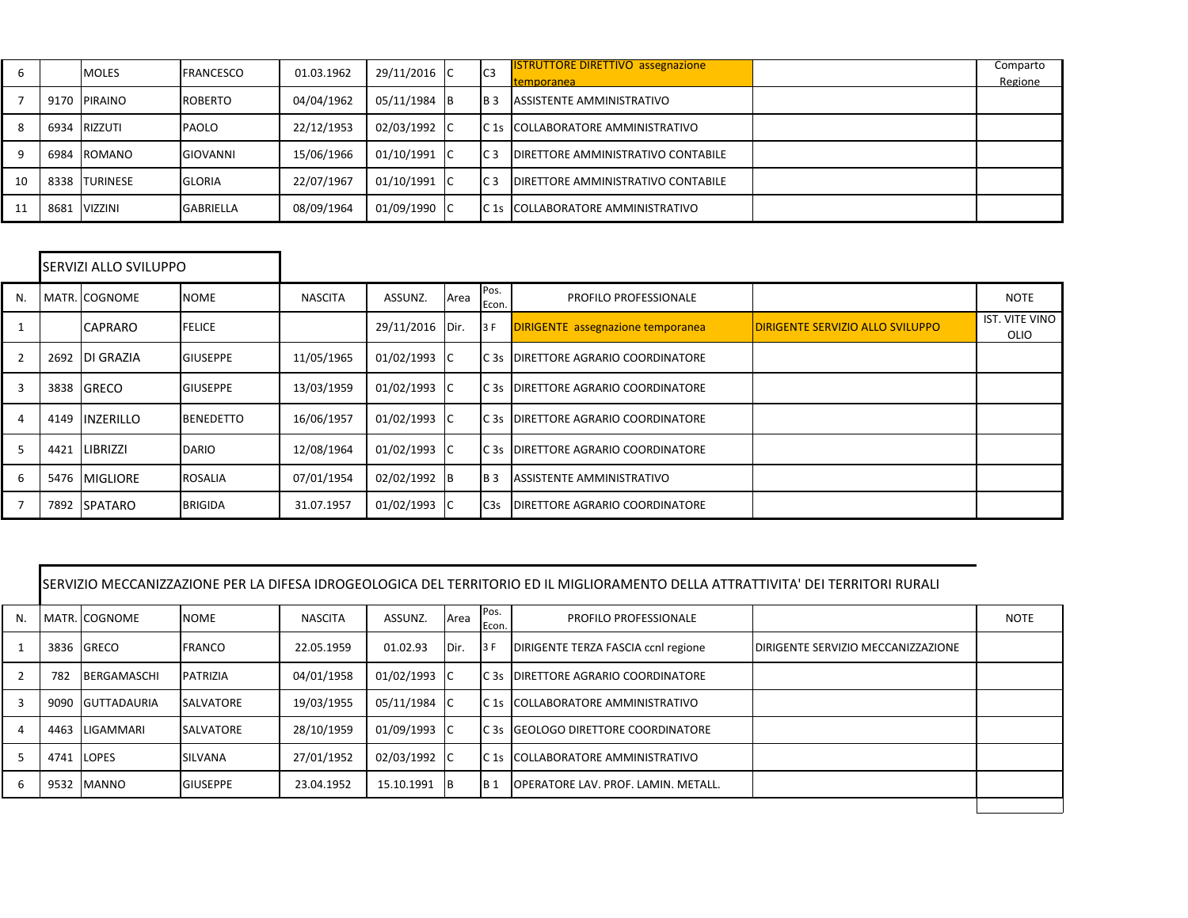| 6  |      | <b>IMOLES</b>    | <b>FRANCESCO</b> | 01.03.1962 | 29/11/2016 C | I <sub>C3</sub> | <b>ISTRUTTORE DIRETTIVO assegnazione</b><br><b>Itemporanea</b> | Comparto<br>Regione |
|----|------|------------------|------------------|------------|--------------|-----------------|----------------------------------------------------------------|---------------------|
|    |      | 9170 PIRAINO     | <b>ROBERTO</b>   | 04/04/1962 | 05/11/1984 B | IB <sub>3</sub> | ASSISTENTE AMMINISTRATIVO                                      |                     |
| 8  | 6934 | RIZZUTI          | <b>PAOLO</b>     | 22/12/1953 | 02/03/1992 C |                 | IC 15 ICOLLABORATORE AMMINISTRATIVO                            |                     |
| 9  | 6984 | ROMANO           | <b>GIOVANNI</b>  | 15/06/1966 | 01/10/1991 C | IC <sub>3</sub> | <b>IDIRETTORE AMMINISTRATIVO CONTABILE</b>                     |                     |
| 10 | 8338 | <b>ITURINESE</b> | <b>GLORIA</b>    | 22/07/1967 | 01/10/1991 C | IC <sub>3</sub> | <b>IDIRETTORE AMMINISTRATIVO CONTABILE</b>                     |                     |
| 11 | 8681 | <b>VIZZINI</b>   | <b>GABRIELLA</b> | 08/09/1964 | 01/09/1990 C |                 | C 1s COLLABORATORE AMMINISTRATIVO                              |                     |

|    |      | SERVIZI ALLO SVILUPPO |                  |                |                 |      |                  |                                          |                                         |                        |
|----|------|-----------------------|------------------|----------------|-----------------|------|------------------|------------------------------------------|-----------------------------------------|------------------------|
| N. |      | MATR. COGNOME         | <b>NOME</b>      | <b>NASCITA</b> | ASSUNZ.         | Area | Pos.<br>Econ.    | PROFILO PROFESSIONALE                    |                                         | <b>NOTE</b>            |
|    |      | <b>CAPRARO</b>        | <b>FELICE</b>    |                | 29/11/2016 Dir. |      | 13F              | <b>DIRIGENTE</b> assegnazione temporanea | <b>DIRIGENTE SERVIZIO ALLO SVILUPPO</b> | IST. VITE VINO<br>OLIO |
| 2  |      | 2692 DI GRAZIA        | <b>GIUSEPPE</b>  | 11/05/1965     | 01/02/1993 C    |      | IC <sub>3s</sub> | <b>DIRETTORE AGRARIO COORDINATORE</b>    |                                         |                        |
| 3  | 3838 | <b>IGRECO</b>         | <b>GIUSEPPE</b>  | 13/03/1959     | 01/02/1993 C    |      | IC <sub>3s</sub> | <b>DIRETTORE AGRARIO COORDINATORE</b>    |                                         |                        |
| 4  | 4149 | <b>INZERILLO</b>      | <b>BENEDETTO</b> | 16/06/1957     | 01/02/1993 C    |      |                  | IC3s IDIRETTORE AGRARIO COORDINATORE     |                                         |                        |
| 5  | 4421 | LIBRIZZI              | <b>DARIO</b>     | 12/08/1964     | 01/02/1993 C    |      | IC <sub>3s</sub> | <b>DIRETTORE AGRARIO COORDINATORE</b>    |                                         |                        |
| 6  | 5476 | <b>MIGLIORE</b>       | <b>ROSALIA</b>   | 07/01/1954     | 02/02/1992 B    |      | IB <sub>3</sub>  | ASSISTENTE AMMINISTRATIVO                |                                         |                        |
|    | 7892 | <b>SPATARO</b>        | <b>BRIGIDA</b>   | 31.07.1957     | 01/02/1993 C    |      | C <sub>3</sub> s | DIRETTORE AGRARIO COORDINATORE           |                                         |                        |

|    | ISERVIZIO MECCANIZZAZIONE PER LA DIFESA IDROGEOLOGICA DEL TERRITORIO ED IL MIGLIORAMENTO DELLA ATTRATTIVITA' DEI TERRITORI RURALI |                    |                  |                |              |      |                 |                                             |                                            |             |  |  |  |
|----|-----------------------------------------------------------------------------------------------------------------------------------|--------------------|------------------|----------------|--------------|------|-----------------|---------------------------------------------|--------------------------------------------|-------------|--|--|--|
| N. |                                                                                                                                   | MATR. COGNOME      | <b>NOME</b>      | <b>NASCITA</b> | ASSUNZ.      | Area | IPos.<br>Econ.  | PROFILO PROFESSIONALE                       |                                            | <b>NOTE</b> |  |  |  |
|    | 3836                                                                                                                              | <b>GRECO</b>       | <b>FRANCO</b>    | 22.05.1959     | 01.02.93     | Dir. | 13F             | DIRIGENTE TERZA FASCIA ccnl regione         | <b>IDIRIGENTE SERVIZIO MECCANIZZAZIONE</b> |             |  |  |  |
|    | 782                                                                                                                               | <b>BERGAMASCHI</b> | PATRIZIA         | 04/01/1958     | 01/02/1993 C |      |                 | IC3s IDIRETTORE AGRARIO COORDINATORE        |                                            |             |  |  |  |
|    | 9090                                                                                                                              | <b>GUTTADAURIA</b> | <b>SALVATORE</b> | 19/03/1955     | 05/11/1984 C |      |                 | IC 15 COLLABORATORE AMMINISTRATIVO          |                                            |             |  |  |  |
|    | 4463                                                                                                                              | LIGAMMARI          | <b>SALVATORE</b> | 28/10/1959     | 01/09/1993 C |      |                 | IC3s IGEOLOGO DIRETTORE COORDINATORE        |                                            |             |  |  |  |
|    | 4741                                                                                                                              | <b>LOPES</b>       | SILVANA          | 27/01/1952     | 02/03/1992 C |      | C <sub>1s</sub> | COLLABORATORE AMMINISTRATIVO                |                                            |             |  |  |  |
| 6  | 9532                                                                                                                              | <b>MANNO</b>       | <b>GIUSEPPE</b>  | 23.04.1952     | 15.10.1991   | IB.  | <b>B</b> 1      | <b>IOPERATORE LAV. PROF. LAMIN. METALL.</b> |                                            |             |  |  |  |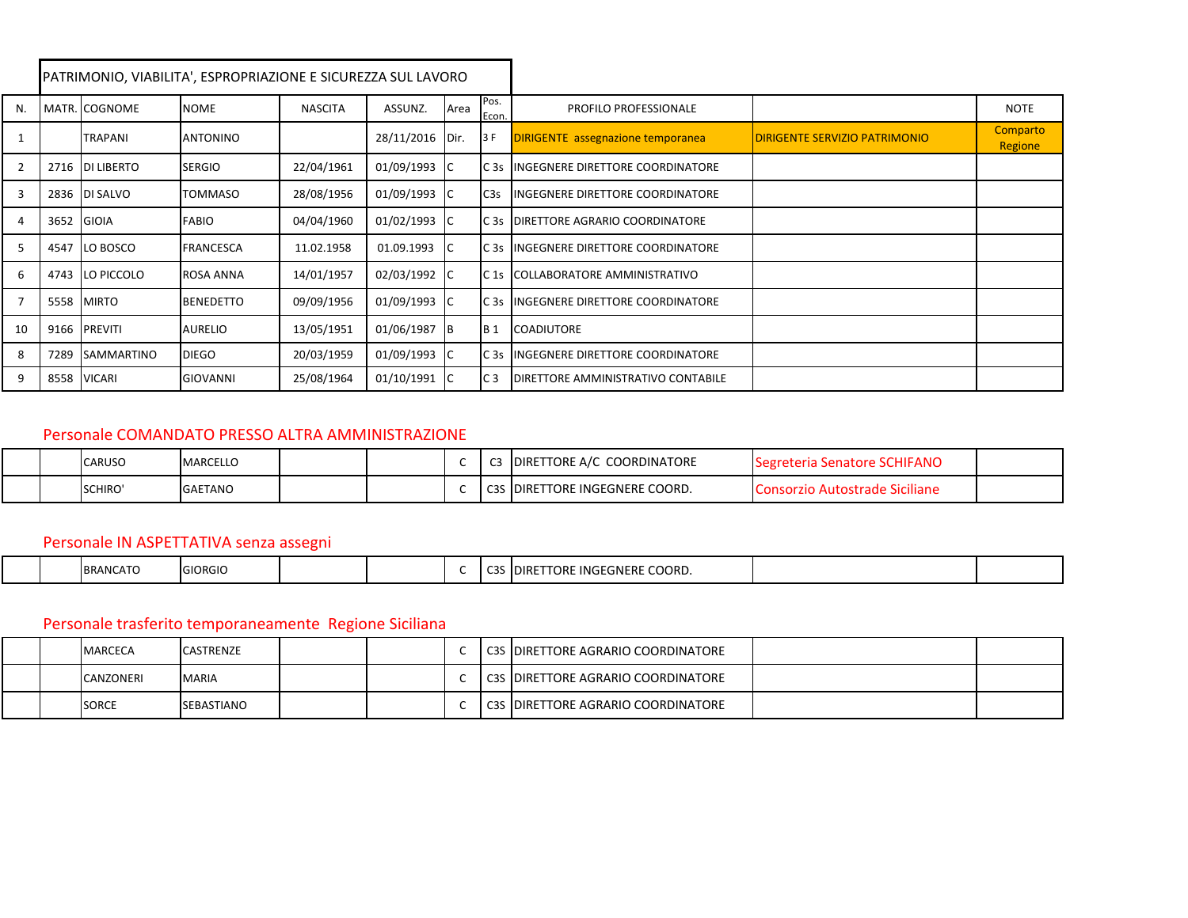|                |      |                   | PATRIMONIO, VIABILITA', ESPROPRIAZIONE E SICUREZZA SUL LAVORO |                |              |      |                  |                                            |                                       |                     |
|----------------|------|-------------------|---------------------------------------------------------------|----------------|--------------|------|------------------|--------------------------------------------|---------------------------------------|---------------------|
| N.             |      | MATR. COGNOME     | <b>NOME</b>                                                   | <b>NASCITA</b> | ASSUNZ.      | Area | Pos.<br>Econ.    | <b>PROFILO PROFESSIONALE</b>               |                                       | <b>NOTE</b>         |
|                |      | <b>TRAPANI</b>    | <b>ANTONINO</b>                                               |                | 28/11/2016   | Dir. | 13 F             | <b>DIRIGENTE</b> assegnazione temporanea   | <b>IDIRIGENTE SERVIZIO PATRIMONIO</b> | Comparto<br>Regione |
| 2              | 2716 | <b>DI LIBERTO</b> | <b>SERGIO</b>                                                 | 22/04/1961     | 01/09/1993 C |      |                  | C 3s IINGEGNERE DIRETTORE COORDINATORE     |                                       |                     |
| 3              |      | 2836 DI SALVO     | <b>TOMMASO</b>                                                | 28/08/1956     | 01/09/1993 C |      | C <sub>3</sub> s | <b>INGEGNERE DIRETTORE COORDINATORE</b>    |                                       |                     |
| 4              | 3652 | GIOIA             | <b>FABIO</b>                                                  | 04/04/1960     | 01/02/1993 C |      |                  | C 3s DIRETTORE AGRARIO COORDINATORE        |                                       |                     |
| 5              |      | 4547 LO BOSCO     | <b>FRANCESCA</b>                                              | 11.02.1958     | 01.09.1993   |      |                  | C 3s INGEGNERE DIRETTORE COORDINATORE      |                                       |                     |
| 6              | 4743 | LO PICCOLO        | <b>ROSA ANNA</b>                                              | 14/01/1957     | 02/03/1992 C |      | C <sub>1s</sub>  | COLLABORATORE AMMINISTRATIVO               |                                       |                     |
| $\overline{7}$ | 5558 | <b>MIRTO</b>      | <b>BENEDETTO</b>                                              | 09/09/1956     | 01/09/1993 C |      |                  | C 3s IINGEGNERE DIRETTORE COORDINATORE     |                                       |                     |
| 10             |      | 9166 PREVITI      | <b>AURELIO</b>                                                | 13/05/1951     | 01/06/1987   | B    | IB <sub>1</sub>  | <b>COADIUTORE</b>                          |                                       |                     |
| 8              | 7289 | <b>SAMMARTINO</b> | <b>DIEGO</b>                                                  | 20/03/1959     | 01/09/1993   | -lc  |                  | C 3s IINGEGNERE DIRETTORE COORDINATORE     |                                       |                     |
| 9              | 8558 | <b>VICARI</b>     | <b>GIOVANNI</b>                                               | 25/08/1964     | 01/10/1991   | -lC  | C <sub>3</sub>   | <b>IDIRETTORE AMMINISTRATIVO CONTABILE</b> |                                       |                     |

#### Personale COMANDATO PRESSO ALTRA AMMINISTRAZIONE

|  | <b>CARUSO</b> | <b>MARCELLO</b> |  |      | COORDINATORE<br>DIRETTORE A/C      | ' SCHIFANC<br>"Segreteria Senatore" |  |
|--|---------------|-----------------|--|------|------------------------------------|-------------------------------------|--|
|  | SCHIRO'       | <b>GAETANO</b>  |  | ັບປະ | <b>IDIRETTORE INGEGNERE COORD.</b> | <b>Niciliane</b>                    |  |

### Personale IN ASPETTATIVA senza assegni

|  |  | <b>BRANCATO</b> | n<br>$\sim$<br><b>LGIORGIC</b> |  |  |  | $\sim$<br>ັ | LORE INGEGNERE COORD.<br>` IDIRE |  |  |
|--|--|-----------------|--------------------------------|--|--|--|-------------|----------------------------------|--|--|
|--|--|-----------------|--------------------------------|--|--|--|-------------|----------------------------------|--|--|

# Personale trasferito temporaneamente Regione Siciliana

|  | <b>MARCECA</b> | <b>CASTRENZE</b>  |  |  | <b>C3S IDIRETTORE AGRARIO COORDINATORE</b> |  |
|--|----------------|-------------------|--|--|--------------------------------------------|--|
|  | CANZONERI      | <b>MARIA</b>      |  |  | C3S DIRETTORE AGRARIO COORDINATORE         |  |
|  | <b>SORCE</b>   | <b>SEBASTIANO</b> |  |  | l C3S  DIRETTORE AGRARIO COORDINATORE      |  |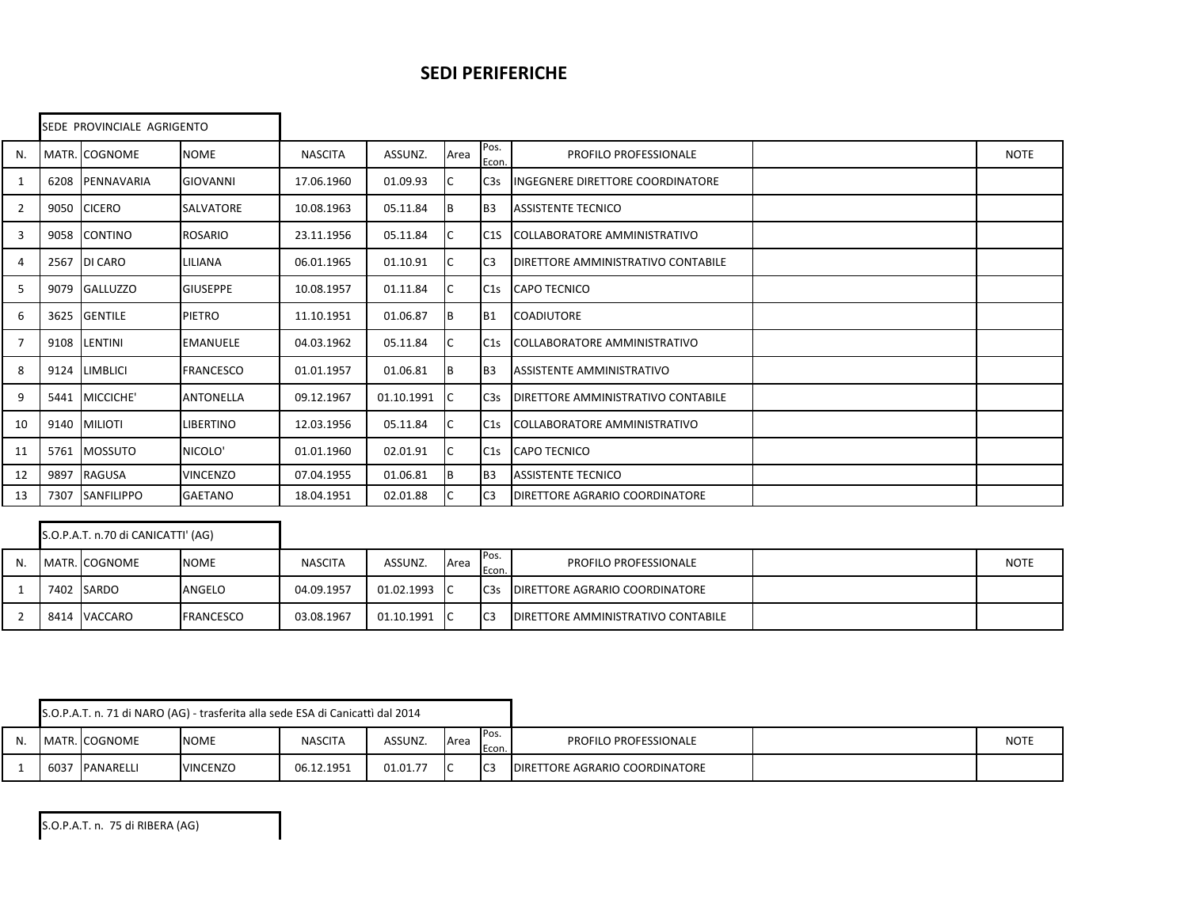#### **SEDI PERIFERICHE**

|    |      | SEDE PROVINCIALE AGRIGENTO |                  |                |            |      |                  |                                     |             |
|----|------|----------------------------|------------------|----------------|------------|------|------------------|-------------------------------------|-------------|
| N. |      | MATR. COGNOME              | <b>NOME</b>      | <b>NASCITA</b> | ASSUNZ.    | Area | Pos.<br>Econ.    | PROFILO PROFESSIONALE               | <b>NOTE</b> |
| 1  | 6208 | PENNAVARIA                 | <b>GIOVANNI</b>  | 17.06.1960     | 01.09.93   | IС   | C <sub>3</sub> s | INGEGNERE DIRETTORE COORDINATORE    |             |
| 2  | 9050 | <b>CICERO</b>              | SALVATORE        | 10.08.1963     | 05.11.84   | Iв.  | IB <sub>3</sub>  | <b>ASSISTENTE TECNICO</b>           |             |
| 3  | 9058 | <b>CONTINO</b>             | <b>ROSARIO</b>   | 23.11.1956     | 05.11.84   | IC   | C <sub>1</sub> S | <b>COLLABORATORE AMMINISTRATIVO</b> |             |
| 4  | 2567 | <b>DI CARO</b>             | LILIANA          | 06.01.1965     | 01.10.91   | ıс   | IC <sub>3</sub>  | DIRETTORE AMMINISTRATIVO CONTABILE  |             |
| 5  | 9079 | <b>GALLUZZO</b>            | <b>GIUSEPPE</b>  | 10.08.1957     | 01.11.84   | IС   | C1s              | <b>CAPO TECNICO</b>                 |             |
| 6  | 3625 | <b>GENTILE</b>             | PIETRO           | 11.10.1951     | 01.06.87   | Iв   | IB1              | <b>COADIUTORE</b>                   |             |
| 7  | 9108 | LENTINI                    | <b>EMANUELE</b>  | 04.03.1962     | 05.11.84   | ıc   | C1s              | <b>COLLABORATORE AMMINISTRATIVO</b> |             |
| 8  | 9124 | <b>LIMBLICI</b>            | <b>FRANCESCO</b> | 01.01.1957     | 01.06.81   | Iв.  | IB <sub>3</sub>  | <b>ASSISTENTE AMMINISTRATIVO</b>    |             |
| 9  | 5441 | MICCICHE'                  | <b>ANTONELLA</b> | 09.12.1967     | 01.10.1991 | ТC   | C <sub>3</sub> s | DIRETTORE AMMINISTRATIVO CONTABILE  |             |
| 10 |      | 9140 MILIOTI               | <b>LIBERTINO</b> | 12.03.1956     | 05.11.84   | IС   | C1s              | COLLABORATORE AMMINISTRATIVO        |             |
| 11 | 5761 | <b>MOSSUTO</b>             | NICOLO'          | 01.01.1960     | 02.01.91   | IC   | C1s              | <b>CAPO TECNICO</b>                 |             |
| 12 | 9897 | <b>RAGUSA</b>              | <b>VINCENZO</b>  | 07.04.1955     | 01.06.81   | IВ   | B <sub>3</sub>   | <b>ASSISTENTE TECNICO</b>           |             |
| 13 | 7307 | SANFILIPPO                 | GAETANO          | 18.04.1951     | 02.01.88   | IС   | C <sub>3</sub>   | DIRETTORE AGRARIO COORDINATORE      |             |

|  | S.O.P.A.T. n.70 di CANICATTI' (AG) |                  |                |            |                          |                 |                                           |             |
|--|------------------------------------|------------------|----------------|------------|--------------------------|-----------------|-------------------------------------------|-------------|
|  | MATR. COGNOME                      | <b>NOME</b>      | <b>NASCITA</b> | ASSUNZ.    | <b>Area</b>              | IPos.<br>Econ.  | PROFILO PROFESSIONALE                     | <b>NOTE</b> |
|  | 7402 SARDO                         | ANGELO           | 04.09.1957     | 01.02.1993 | $\overline{\phantom{a}}$ | C <sub>3s</sub> | DIRETTORE AGRARIO COORDINATORE            |             |
|  | 8414 VACCARO                       | <b>FRANCESCO</b> | 03.08.1967     | 01.10.1991 | - IC                     | IC <sub>3</sub> | <b>DIRETTORE AMMINISTRATIVO CONTABILE</b> |             |

|    |      |                  | S.O.P.A.T. n. 71 di NARO (AG) - trasferita alla sede ESA di Canicattì dal 2014 |                |          |      |                |                                       |             |
|----|------|------------------|--------------------------------------------------------------------------------|----------------|----------|------|----------------|---------------------------------------|-------------|
| N. |      | MATR. COGNOME    | <b>NOME</b>                                                                    | <b>NASCITA</b> | ASSUNZ.  | Area | IPos.<br>Econ. | <b>PROFILO PROFESSIONALE</b>          | <b>NOTE</b> |
|    | 6037 | <b>PANARELLI</b> | <b>VINCENZO</b>                                                                | 06.12.1951     | 01.01.77 |      | IC3            | <b>DIRETTORE AGRARIO COORDINATORE</b> |             |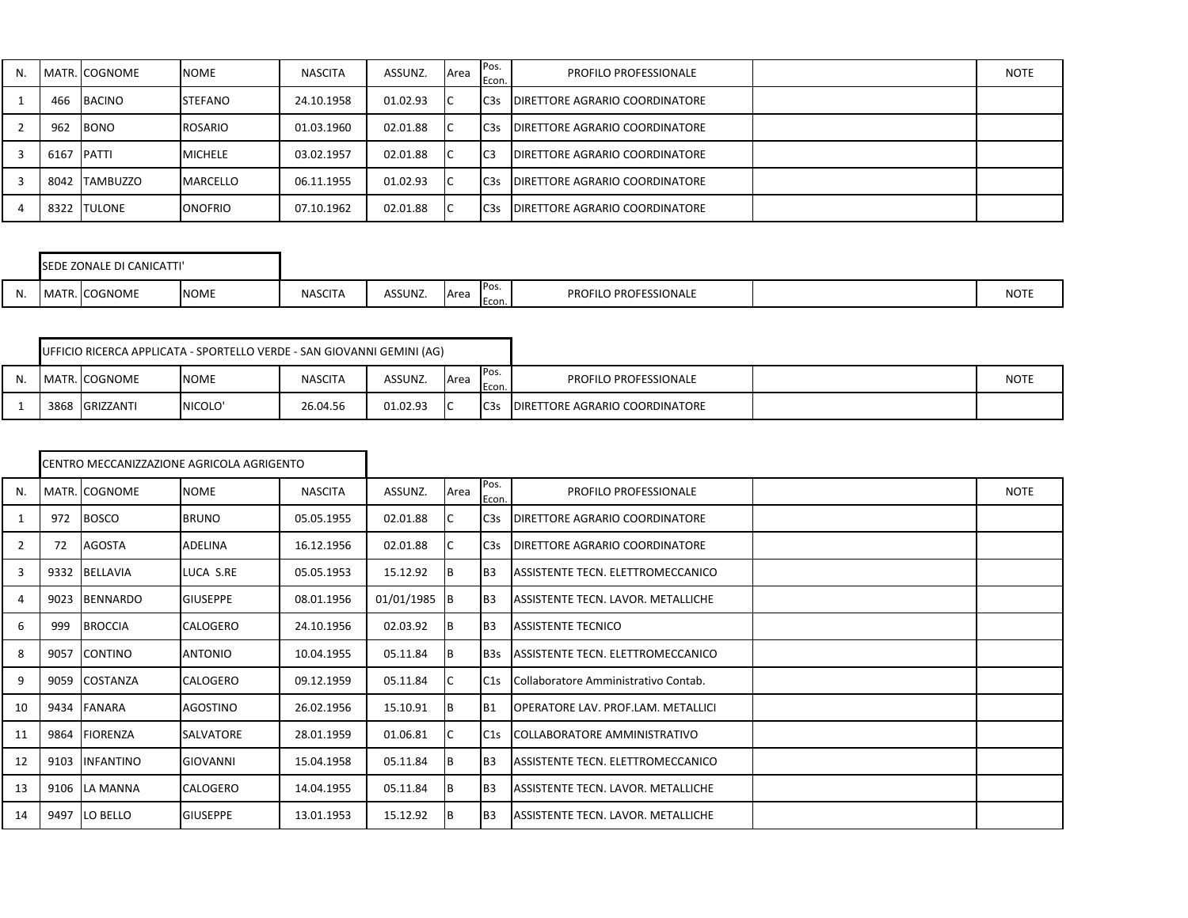| N. |      | MATR. COGNOME  | <b>NOME</b>     | <b>NASCITA</b> | ASSUNZ.  | <b>A</b> rea | Pos.<br>Econ.    | PROFILO PROFESSIONALE                  | <b>NOTE</b> |
|----|------|----------------|-----------------|----------------|----------|--------------|------------------|----------------------------------------|-------------|
|    | 466  | BACINO         | <b>STEFANO</b>  | 24.10.1958     | 01.02.93 | IC.          | C <sub>3</sub> s | <b>IDIRETTORE AGRARIO COORDINATORE</b> |             |
|    | 962  | <b>BONO</b>    | ROSARIO         | 01.03.1960     | 02.01.88 | IC.          | C <sub>3</sub> s | <b>DIRETTORE AGRARIO COORDINATORE</b>  |             |
|    | 6167 | <b>PATTI</b>   | <b>MICHELE</b>  | 03.02.1957     | 02.01.88 | IC           | C <sub>3</sub>   | <b>IDIRETTORE AGRARIO COORDINATORE</b> |             |
|    | 8042 | TAMBUZZO       | <b>MARCELLO</b> | 06.11.1955     | 01.02.93 | IC           | C <sub>3</sub> s | <b>DIRETTORE AGRARIO COORDINATORE</b>  |             |
|    | 8322 | <b>ITULONE</b> | <b>ONOFRIO</b>  | 07.10.1962     | 02.01.88 | ТC           | C <sub>3</sub> s | <b>IDIRETTORE AGRARIO COORDINATORE</b> |             |

|       | SEDE ZONALE DI CANICATTI' |             |                |         |      |              |                              |             |
|-------|---------------------------|-------------|----------------|---------|------|--------------|------------------------------|-------------|
| - 14. | MATR. COGNOME             | <b>NOME</b> | <b>NASCITA</b> | ASSUNZ. | Area | Pos.<br>Econ | <b>PROFILO PROFESSIONALE</b> | <b>NOTE</b> |

|    |                | UFFICIO RICERCA APPLICATA - SPORTELLO VERDE - SAN GIOVANNI GEMINI (AG) |                |          |      |                 |                                       |             |
|----|----------------|------------------------------------------------------------------------|----------------|----------|------|-----------------|---------------------------------------|-------------|
| N. | MATR. COGNOME  | <b>NOME</b>                                                            | <b>NASCITA</b> | ASSUNZ.  | Area | IPos.<br>Econ.  | <b>PROFILO PROFESSIONALE</b>          | <b>NOTE</b> |
|    | 3868 GRIZZANTI | NICOLO'                                                                | 26.04.56       | 01.02.93 |      | C <sub>3s</sub> | <b>DIRETTORE AGRARIO COORDINATORE</b> |             |

|    |      |                  | CENTRO MECCANIZZAZIONE AGRICOLA AGRIGENTO |                |                |      |                  |                                            |      |
|----|------|------------------|-------------------------------------------|----------------|----------------|------|------------------|--------------------------------------------|------|
| N. |      | MATR. COGNOME    | <b>NOME</b>                               | <b>NASCITA</b> | ASSUNZ.        | Area | Pos.<br>Econ.    | PROFILO PROFESSIONALE                      | NOTE |
| 1  | 972  | <b>BOSCO</b>     | <b>BRUNO</b>                              | 05.05.1955     | 02.01.88       | IС   | C <sub>3</sub> s | <b>IDIRETTORE AGRARIO COORDINATORE</b>     |      |
| 2  | 72   | AGOSTA           | <b>ADELINA</b>                            | 16.12.1956     | 02.01.88       | IС   | C3s              | <b>IDIRETTORE AGRARIO COORDINATORE</b>     |      |
| 3  |      | 9332 BELLAVIA    | LUCA S.RE                                 | 05.05.1953     | 15.12.92       | IB.  | B <sub>3</sub>   | ASSISTENTE TECN. ELETTROMECCANICO          |      |
| 4  | 9023 | <b>BENNARDO</b>  | <b>GIUSEPPE</b>                           | 08.01.1956     | $01/01/1985$ B |      | B <sub>3</sub>   | ASSISTENTE TECN. LAVOR. METALLICHE         |      |
| 6  | 999  | <b>BROCCIA</b>   | <b>CALOGERO</b>                           | 24.10.1956     | 02.03.92       | IВ   | B <sub>3</sub>   | <b>ASSISTENTE TECNICO</b>                  |      |
| 8  | 9057 | <b>CONTINO</b>   | <b>ANTONIO</b>                            | 10.04.1955     | 05.11.84       | 1B   | B <sub>3s</sub>  | ASSISTENTE TECN. ELETTROMECCANICO          |      |
| 9  | 9059 | COSTANZA         | <b>CALOGERO</b>                           | 09.12.1959     | 05.11.84       |      | C1s              | Collaboratore Amministrativo Contab.       |      |
| 10 | 9434 | <b>FANARA</b>    | AGOSTINO                                  | 26.02.1956     | 15.10.91       | IΒ   | <b>B1</b>        | <b>IOPERATORE LAV. PROF.LAM. METALLICI</b> |      |
| 11 | 9864 | <b>FIORENZA</b>  | <b>SALVATORE</b>                          | 28.01.1959     | 01.06.81       | IС   | C1s              | COLLABORATORE AMMINISTRATIVO               |      |
| 12 | 9103 | <b>INFANTINO</b> | <b>GIOVANNI</b>                           | 15.04.1958     | 05.11.84       | IВ   | B <sub>3</sub>   | ASSISTENTE TECN. ELETTROMECCANICO          |      |
| 13 | 9106 | LA MANNA         | <b>CALOGERO</b>                           | 14.04.1955     | 05.11.84       | IB.  | B <sub>3</sub>   | ASSISTENTE TECN. LAVOR. METALLICHE         |      |
| 14 | 9497 | LO BELLO         | <b>GIUSEPPE</b>                           | 13.01.1953     | 15.12.92       | I B  | B <sub>3</sub>   | ASSISTENTE TECN. LAVOR. METALLICHE         |      |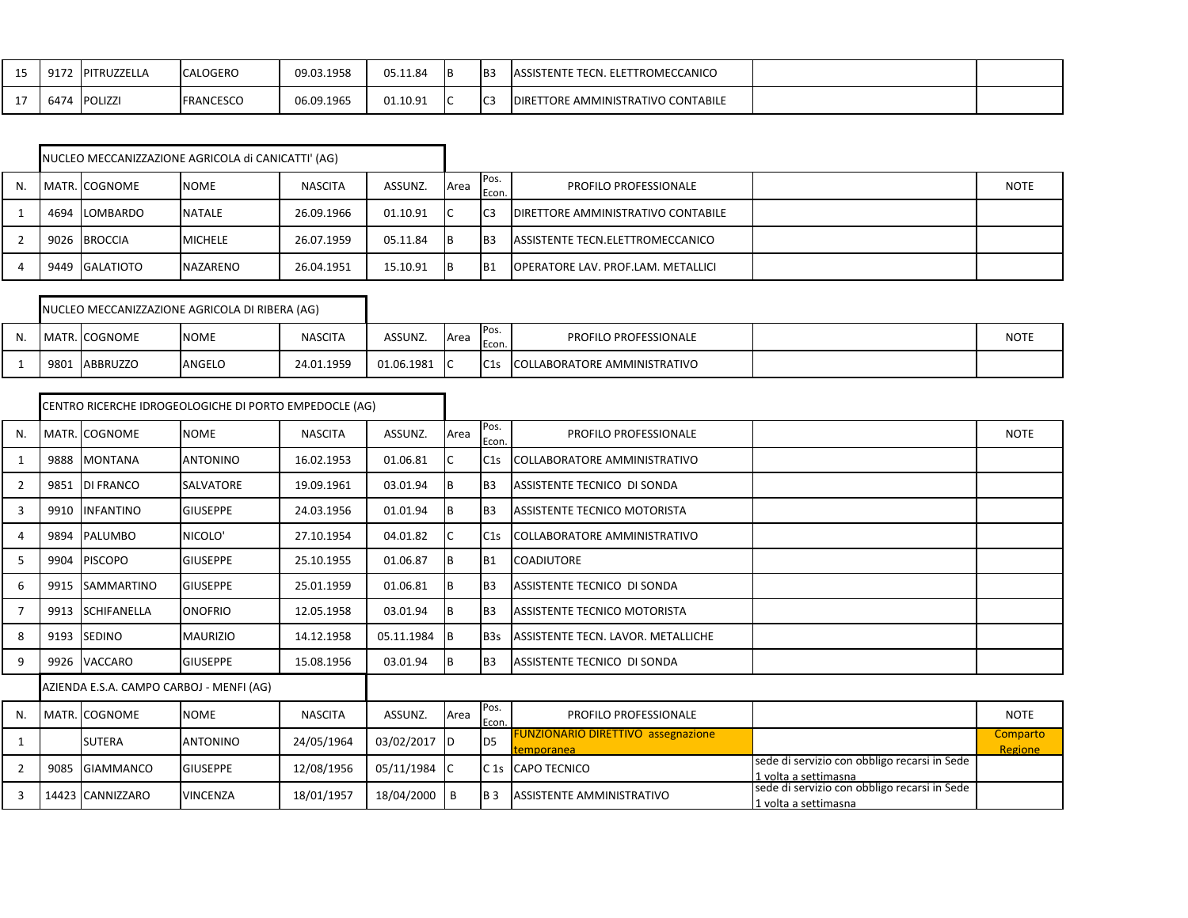| $\sim$ $\sim$<br><b></b> | Q17<br><u>JIIL</u> | <b>IPITRUZZELL</b> | <b>CALOGERO</b>  | 09.03.1958 | 05.11.84 | IB3 | : TECN. ELETTROMECCANICO<br><b>LASSISTENTE</b>      |  |
|--------------------------|--------------------|--------------------|------------------|------------|----------|-----|-----------------------------------------------------|--|
|                          | 6474               | <b>POLIZZI</b>     | <b>FRANCESCO</b> | 06.09.1965 | 01.10.91 | IC3 | E AMMINISTRATIVO CONTABILE<br>TORE<br><b>IDIRET</b> |  |

|    |                | NUCLEO MECCANIZZAZIONE AGRICOLA di CANICATTI' (AG) |                |          |      |                 |                                            |             |
|----|----------------|----------------------------------------------------|----------------|----------|------|-----------------|--------------------------------------------|-------------|
| N. | MATR. COGNOME  | <b>NOME</b>                                        | <b>NASCITA</b> | ASSUNZ.  | Area | Pos.<br>Econ.   | <b>PROFILO PROFESSIONALE</b>               | <b>NOTE</b> |
|    | 4694 LOMBARDO  | <b>NATALE</b>                                      | 26.09.1966     | 01.10.91 | IC   | lC3             | <b>IDIRETTORE AMMINISTRATIVO CONTABILE</b> |             |
|    | 9026 BROCCIA   | <b>MICHELE</b>                                     | 26.07.1959     | 05.11.84 | IB.  | IB <sub>3</sub> | ASSISTENTE TECN.ELETTROMECCANICO           |             |
|    | 9449 GALATIOTO | <b>NAZARENO</b>                                    | 26.04.1951     | 15.10.91 | 1B   | IB <sub>1</sub> | OPERATORE LAV. PROF.LAM. METALLICI         |             |

|      |               | NUCLEO MECCANIZZAZIONE AGRICOLA DI RIBERA (AG) |                |            |             |               |                              |             |
|------|---------------|------------------------------------------------|----------------|------------|-------------|---------------|------------------------------|-------------|
|      | MATR. COGNOME | <b>NOME</b>                                    | <b>NASCITA</b> | ASSUNZ.    | <b>Area</b> | Pos.<br>Econ. | <b>PROFILO PROFESSIONALE</b> | <b>NOTE</b> |
| 9801 | ABBRUZZO      | ANGELO                                         | 24.01.1959     | 01.06.1981 |             | C1s           | COLLABORATORE AMMINISTRATIVO |             |

|                |      |                                          | CENTRO RICERCHE IDROGEOLOGICHE DI PORTO EMPEDOCLE (AG) |                |            |      |                 |                                                         |                                                                      |                     |
|----------------|------|------------------------------------------|--------------------------------------------------------|----------------|------------|------|-----------------|---------------------------------------------------------|----------------------------------------------------------------------|---------------------|
| N.             |      | MATR. COGNOME                            | <b>NOME</b>                                            | <b>NASCITA</b> | ASSUNZ.    | Area | Pos.<br>Econ.   | <b>PROFILO PROFESSIONALE</b>                            |                                                                      | <b>NOTE</b>         |
| 1              | 9888 | <b>MONTANA</b>                           | <b>ANTONINO</b>                                        | 16.02.1953     | 01.06.81   |      | C1s             | <b>COLLABORATORE AMMINISTRATIVO</b>                     |                                                                      |                     |
| 2              | 9851 | <b>DI FRANCO</b>                         | <b>SALVATORE</b>                                       | 19.09.1961     | 03.01.94   | ΙB   | I <sub>B3</sub> | ASSISTENTE TECNICO DI SONDA                             |                                                                      |                     |
| 3              | 9910 | <b>INFANTINO</b>                         | <b>GIUSEPPE</b>                                        | 24.03.1956     | 01.01.94   |      | B <sub>3</sub>  | <b>ASSISTENTE TECNICO MOTORISTA</b>                     |                                                                      |                     |
| 4              | 9894 | PALUMBO                                  | NICOLO'                                                | 27.10.1954     | 04.01.82   |      | C1s             | COLLABORATORE AMMINISTRATIVO                            |                                                                      |                     |
| 5              | 9904 | <b>PISCOPO</b>                           | <b>GIUSEPPE</b>                                        | 25.10.1955     | 01.06.87   | ΙB   | B <sub>1</sub>  | <b>COADIUTORE</b>                                       |                                                                      |                     |
| 6              | 9915 | SAMMARTINO                               | <b>GIUSEPPE</b>                                        | 25.01.1959     | 01.06.81   | ΙB   | I <sub>B3</sub> | ASSISTENTE TECNICO DI SONDA                             |                                                                      |                     |
| $\overline{7}$ | 9913 | <b>SCHIFANELLA</b>                       | <b>ONOFRIO</b>                                         | 12.05.1958     | 03.01.94   |      | B <sub>3</sub>  | <b>ASSISTENTE TECNICO MOTORISTA</b>                     |                                                                      |                     |
| 8              | 9193 | <b>SEDINO</b>                            | <b>MAURIZIO</b>                                        | 14.12.1958     | 05.11.1984 | IВ   | B <sub>3s</sub> | ASSISTENTE TECN. LAVOR. METALLICHE                      |                                                                      |                     |
| 9              | 9926 | VACCARO                                  | <b>GIUSEPPE</b>                                        | 15.08.1956     | 03.01.94   | B    | B <sub>3</sub>  | ASSISTENTE TECNICO DI SONDA                             |                                                                      |                     |
|                |      | AZIENDA E.S.A. CAMPO CARBOJ - MENFI (AG) |                                                        |                |            |      |                 |                                                         |                                                                      |                     |
| N.             |      | MATR. COGNOME                            | <b>NOME</b>                                            | <b>NASCITA</b> | ASSUNZ.    | Area | Pos.<br>Econ.   | <b>PROFILO PROFESSIONALE</b>                            |                                                                      | <b>NOTE</b>         |
| 1              |      | <b>SUTERA</b>                            | <b>ANTONINO</b>                                        | 24/05/1964     | 03/02/2017 | ID   | I <sub>D5</sub> | <b>FUNZIONARIO DIRETTIVO assegnazione</b><br>temporanea |                                                                      | Comparto<br>Regione |
| $\overline{2}$ | 9085 | <b>GIAMMANCO</b>                         | <b>GIUSEPPE</b>                                        | 12/08/1956     | 05/11/1984 |      | C <sub>1s</sub> | <b>CAPO TECNICO</b>                                     | sede di servizio con obbligo recarsi in Sede<br>1 volta a settimasna |                     |
| 3              |      | 14423 CANNIZZARO                         | <b>VINCENZA</b>                                        | 18/01/1957     | 18/04/2000 | B    | IB <sub>3</sub> | <b>ASSISTENTE AMMINISTRATIVO</b>                        | sede di servizio con obbligo recarsi in Sede<br>1 volta a settimasna |                     |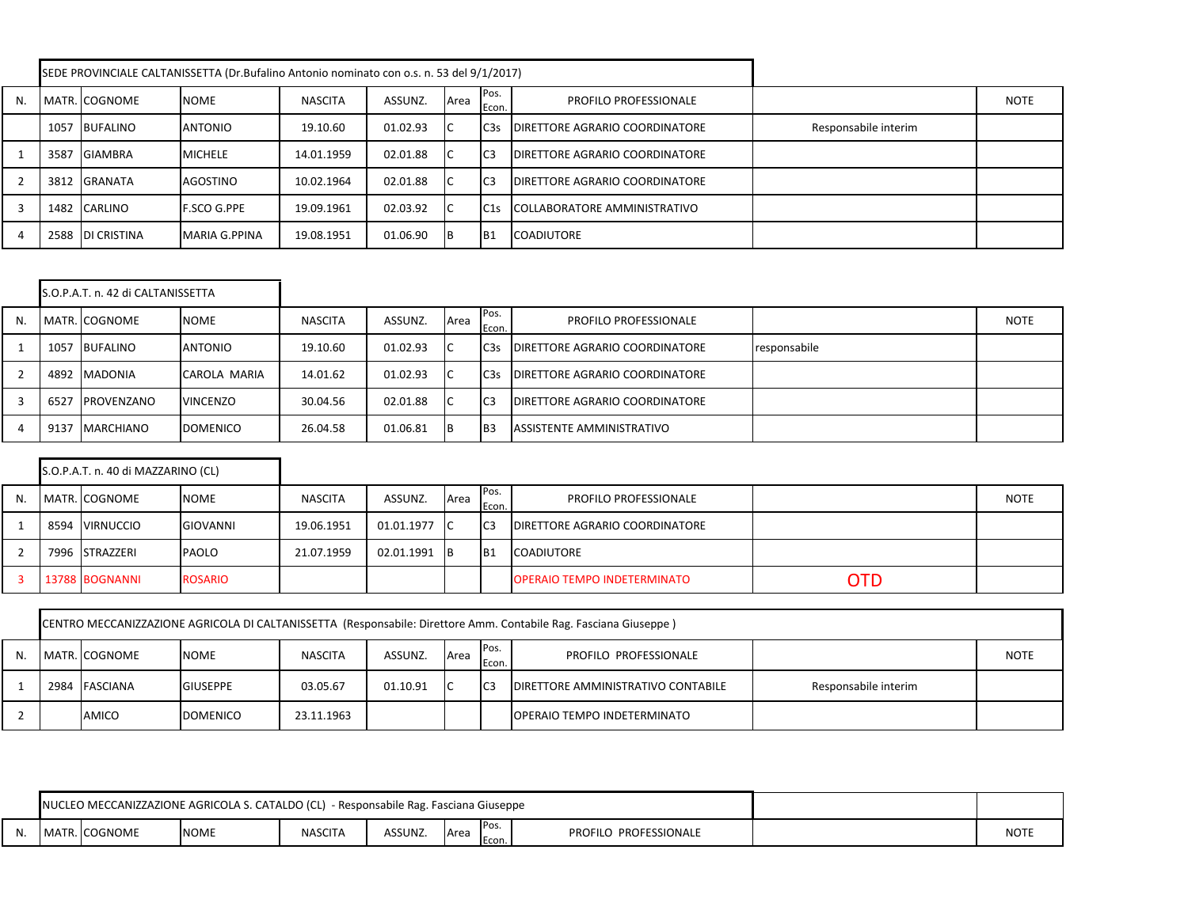|    |      |                  | SEDE PROVINCIALE CALTANISSETTA (Dr.Bufalino Antonio nominato con o.s. n. 53 del 9/1/2017) |                |          |      |                 |                                       |                      |             |
|----|------|------------------|-------------------------------------------------------------------------------------------|----------------|----------|------|-----------------|---------------------------------------|----------------------|-------------|
| N. |      | MATR. COGNOME    | <b>NOME</b>                                                                               | <b>NASCITA</b> | ASSUNZ.  | Area | Pos.<br>Econ.   | <b>PROFILO PROFESSIONALE</b>          |                      | <b>NOTE</b> |
|    |      | 1057 BUFALINO    | <b>ANTONIO</b>                                                                            | 19.10.60       | 01.02.93 | IC.  | C <sub>3s</sub> | <b>DIRETTORE AGRARIO COORDINATORE</b> | Responsabile interim |             |
|    | 3587 | <b>GIAMBRA</b>   | <b>MICHELE</b>                                                                            | 14.01.1959     | 02.01.88 | IC.  | IC <sub>3</sub> | <b>DIRETTORE AGRARIO COORDINATORE</b> |                      |             |
|    |      | 3812 GRANATA     | AGOSTINO                                                                                  | 10.02.1964     | 02.01.88 | IC   | I <sub>C3</sub> | <b>DIRETTORE AGRARIO COORDINATORE</b> |                      |             |
|    |      | 1482 CARLINO     | <b>F.SCO G.PPE</b>                                                                        | 19.09.1961     | 02.03.92 | ТC   | C1s             | COLLABORATORE AMMINISTRATIVO          |                      |             |
|    |      | 2588 DI CRISTINA | MARIA G.PPINA                                                                             | 19.08.1951     | 01.06.90 | 1B   | IB1             | <b>COADIUTORE</b>                     |                      |             |

|    |      | S.O.P.A.T. n. 42 di CALTANISSETTA |                 |                |          |      |                 |                                       |              |             |
|----|------|-----------------------------------|-----------------|----------------|----------|------|-----------------|---------------------------------------|--------------|-------------|
| N. |      | MATR. COGNOME                     | <b>NOME</b>     | <b>NASCITA</b> | ASSUNZ.  | Area | Pos.<br>Econ.   | PROFILO PROFESSIONALE                 |              | <b>NOTE</b> |
|    | 1057 | <b>BUFALINO</b>                   | <b>ANTONIO</b>  | 19.10.60       | 01.02.93 |      | C <sub>3s</sub> | <b>DIRETTORE AGRARIO COORDINATORE</b> | responsabile |             |
|    |      | 4892 MADONIA                      | CAROLA MARIA    | 14.01.62       | 01.02.93 |      | C <sub>3s</sub> | <b>DIRETTORE AGRARIO COORDINATORE</b> |              |             |
| 3  | 6527 | PROVENZANO                        | <b>VINCENZO</b> | 30.04.56       | 02.01.88 |      | IC <sub>3</sub> | <b>DIRETTORE AGRARIO COORDINATORE</b> |              |             |
|    | 9137 | <b>MARCHIANO</b>                  | DOMENICO        | 26.04.58       | 01.06.81 |      | IB <sub>3</sub> | ASSISTENTE AMMINISTRATIVO             |              |             |

|    | S.O.P.A.T. n. 40 di MAZZARINO (CL) |                |                |            |      |                 |                                       |            |             |
|----|------------------------------------|----------------|----------------|------------|------|-----------------|---------------------------------------|------------|-------------|
| N. | MATR. COGNOME                      | <b>NOME</b>    | <b>NASCITA</b> | ASSUNZ.    | Area | IPos.<br>Econ.  | <b>PROFILO PROFESSIONALE</b>          |            | <b>NOTE</b> |
|    | 8594 VIRNUCCIO                     | GIOVANNI       | 19.06.1951     | 01.01.1977 | - IC | IC <sub>3</sub> | <b>DIRETTORE AGRARIO COORDINATORE</b> |            |             |
|    | 7996 STRAZZERI                     | <b>PAOLO</b>   | 21.07.1959     | 02.01.1991 | - IB | IB1             | <b>COADIUTORE</b>                     |            |             |
|    | 13788 BOGNANNI                     | <b>ROSARIO</b> |                |            |      |                 | <b>OPERAIO TEMPO INDETERMINATO</b>    | <b>OTD</b> |             |

| CENTRO MECCANIZZAZIONE AGRICOLA DI CALTANISSETTA (Responsabile: Direttore Amm. Contabile Rag. Fasciana Giuseppe) |               |                 |                |          |              |                |                                    |                      |             |  |  |  |
|------------------------------------------------------------------------------------------------------------------|---------------|-----------------|----------------|----------|--------------|----------------|------------------------------------|----------------------|-------------|--|--|--|
|                                                                                                                  | MATR. COGNOME | <b>NOME</b>     | <b>NASCITA</b> | ASSUNZ.  | <b>A</b> rea | Pos.<br>Econ.  | PROFILO PROFESSIONALE              |                      | <b>NOTE</b> |  |  |  |
|                                                                                                                  | 2984 FASCIANA | <b>GIUSEPPE</b> | 03.05.67       | 01.10.91 | ТC           | C <sub>3</sub> | DIRETTORE AMMINISTRATIVO CONTABILE | Responsabile interim |             |  |  |  |
|                                                                                                                  | AMICO         | <b>DOMENICO</b> | 23.11.1963     |          |              |                | <b>OPERAIO TEMPO INDETERMINATO</b> |                      |             |  |  |  |

|     |             |                  | NUCLEO MECCANIZZAZIONE AGRICOLA S. CATALDO (CL) |                |         |                                |                       |             |
|-----|-------------|------------------|-------------------------------------------------|----------------|---------|--------------------------------|-----------------------|-------------|
| IN. | <b>MATR</b> | <b>I</b> COGNOME | <b>NOME</b>                                     | <b>NASCITA</b> | ASSUNZ. | Pos.<br><b>L</b> Area<br>Econ. | PROFILO PROFESSIONALE | <b>NOTE</b> |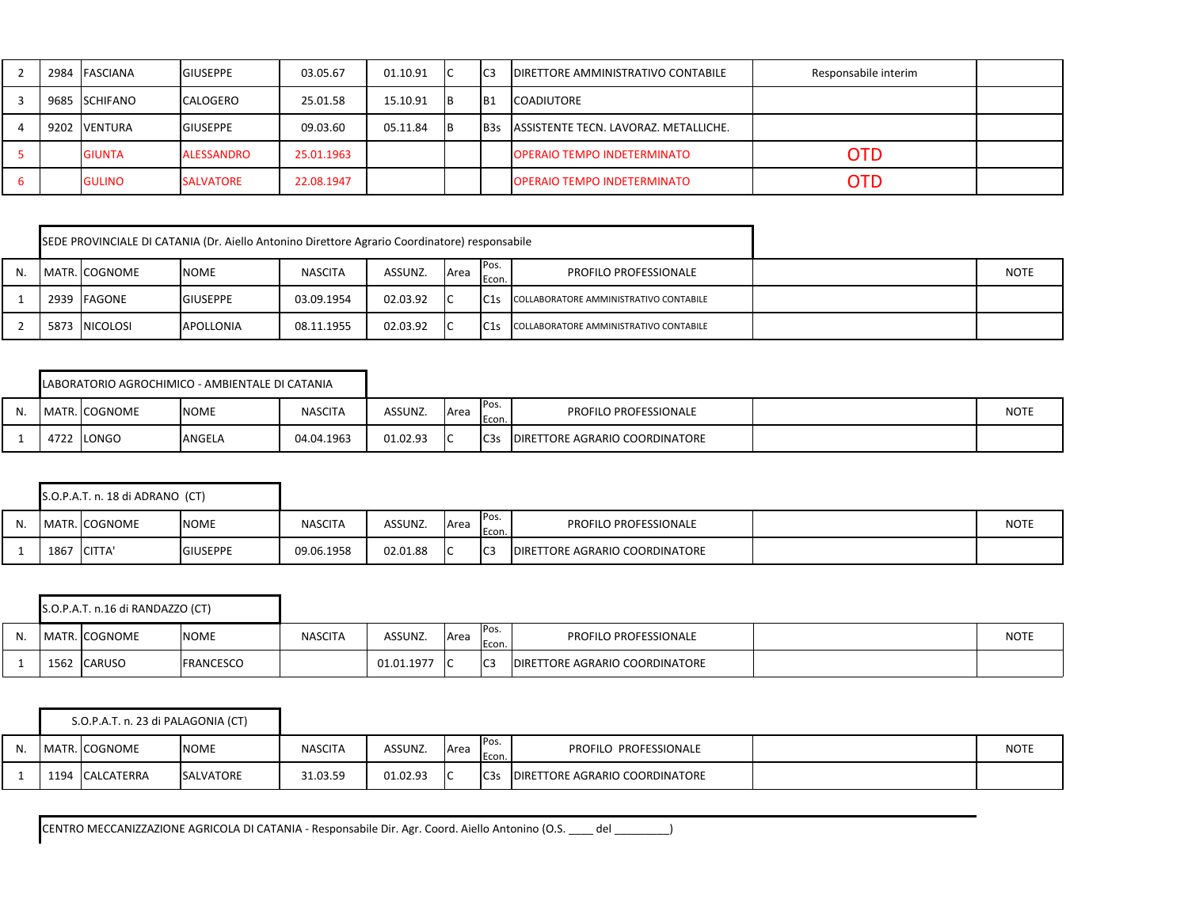|    | 2984 FASCIANA | <b>GIUSEPPE</b>   | 03.05.67   | 01.10.91 | IC  | I <sub>C3</sub> | <b>DIRETTORE AMMINISTRATIVO CONTABILE</b> | Responsabile interim |  |
|----|---------------|-------------------|------------|----------|-----|-----------------|-------------------------------------------|----------------------|--|
|    | 9685 SCHIFANO | <b>CALOGERO</b>   | 25.01.58   | 15.10.91 | IB. | B1              | <b>COADIUTORE</b>                         |                      |  |
|    | 9202 VENTURA  | <b>GIUSEPPE</b>   | 09.03.60   | 05.11.84 | IB. | <b>B</b> 3s     | ASSISTENTE TECN. LAVORAZ. METALLICHE.     |                      |  |
|    | <b>GIUNTA</b> | <b>ALESSANDRO</b> | 25.01.1963 |          |     |                 | <b>OPERAIO TEMPO INDETERMINATO</b>        | <b>OTD</b>           |  |
| D. | <b>GULINO</b> | <b>SALVATORE</b>  | 22.08.1947 |          |     |                 | <b>OPERAIO TEMPO INDETERMINATO</b>        | OTD                  |  |

|    |               | SEDE PROVINCIALE DI CATANIA (Dr. Aiello Antonino Direttore Agrario Coordinatore) responsabile |                |          |      |               |                                        |             |
|----|---------------|-----------------------------------------------------------------------------------------------|----------------|----------|------|---------------|----------------------------------------|-------------|
| N. | MATR. COGNOME | <b>NOME</b>                                                                                   | <b>NASCITA</b> | ASSUNZ.  | Area | Pos.<br>Econ. | <b>PROFILO PROFESSIONALE</b>           | <b>NOTE</b> |
|    | 2939 FAGONE   | <b>GIUSEPPE</b>                                                                               | 03.09.1954     | 02.03.92 |      | C1s           | COLLABORATORE AMMINISTRATIVO CONTABILE |             |
|    | 5873 NICOLOSI | APOLLONIA                                                                                     | 08.11.1955     | 02.03.92 |      | C1s           | COLLABORATORE AMMINISTRATIVO CONTABILE |             |

|    | LABORATORIO AGROCHIMICO - AMBIENTALE DI CATANIA |             |                |          |      |                   |                                       |      |
|----|-------------------------------------------------|-------------|----------------|----------|------|-------------------|---------------------------------------|------|
| N. | MATR. COGNOME                                   | <b>NOME</b> | <b>NASCITA</b> | ASSUNZ.  | Area | Pos.<br>Econ.     | <b>PROFILO PROFESSIONALE</b>          | NOTE |
|    | 4722 LONGO                                      | ANGELA      | 04.04.1963     | 01.02.93 |      | IC <sub>3</sub> s | <b>DIRETTORE AGRARIO COORDINATORE</b> |      |

|    |      | S.O.P.A.T. n. 18 di ADRANO (CT) |                 |                |          |             |                 |                                       |             |
|----|------|---------------------------------|-----------------|----------------|----------|-------------|-----------------|---------------------------------------|-------------|
| N. |      | MATR. COGNOME                   | <b>NOME</b>     | <b>NASCITA</b> | ASSUNZ.  | <b>Area</b> | Pos.<br>Econ.   | <b>PROFILO PROFESSIONALE</b>          | <b>NOTE</b> |
|    | 1867 | <b>CITTA</b>                    | <b>GIUSEPPE</b> | 09.06.1958     | 02.01.88 |             | IC <sub>3</sub> | <b>DIRETTORE AGRARIO COORDINATORE</b> |             |

|      | S.O.P.A.T. n.16 di RANDAZZO (CT) |                   |                |            |        |                 |                                        |             |
|------|----------------------------------|-------------------|----------------|------------|--------|-----------------|----------------------------------------|-------------|
|      | MATR.  COGNOME                   | <b>NOME</b>       | <b>NASCITA</b> | ASSUNZ.    | l Area | IPos.<br>Econ   | PROFILO PROFESSIONALE                  | <b>NOTE</b> |
| 1562 | <b>CARUSO</b>                    | <b>IFRANCESCO</b> |                | 01.01.1977 |        | IC <sub>3</sub> | <b>IDIRETTORE AGRARIO COORDINATORE</b> |             |

|    | S.O.P.A.T. n. 23 di PALAGONIA (CT) |                  |                |          |      |                   |                                       |             |
|----|------------------------------------|------------------|----------------|----------|------|-------------------|---------------------------------------|-------------|
| N. | MATR. COGNOME                      | <b>NOME</b>      | <b>NASCITA</b> | ASSUNZ.  | Area | Pos.<br>Econ.     | PROFILO PROFESSIONALE                 | <b>NOTE</b> |
|    | 1194 CALCATERRA                    | <b>SALVATORE</b> | 31.03.59       | 01.02.93 |      | IC <sub>3</sub> s | <b>DIRETTORE AGRARIO COORDINATORE</b> |             |

CENTRO MECCANIZZAZIONE AGRICOLA DI CATANIA - Responsabile Dir. Agr. Coord. Aiello Antonino (O.S. \_\_\_\_ del \_\_\_\_\_\_\_\_\_)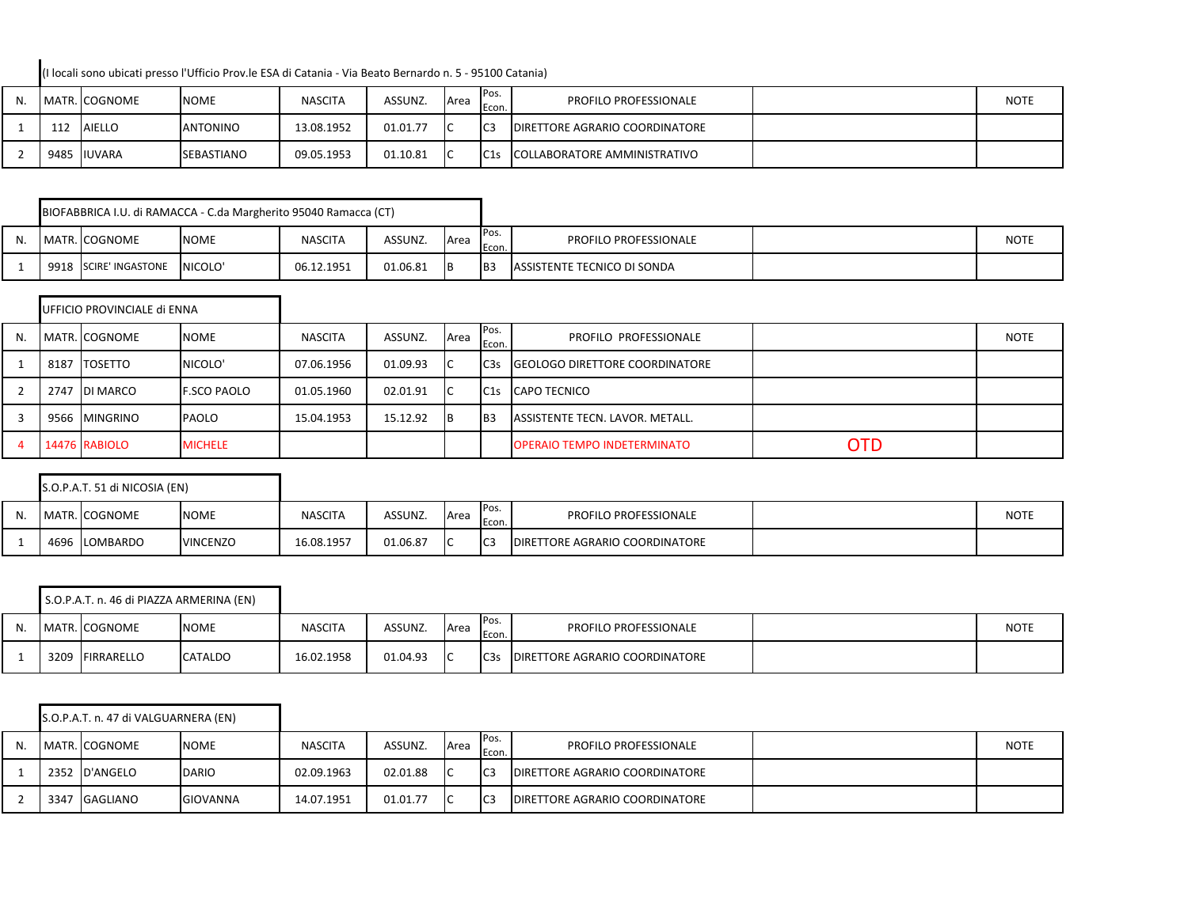(I locali sono ubicati presso l'Ufficio Prov.le ESA di Catania - Via Beato Bernardo n. 5 - 95100 Catania)

| N. |     | MATR. COGNOME | <b>NOME</b>       | <b>NASCITA</b> | ASSUNZ.  | <b>A</b> rea   | Pos.<br>Econ.   | <b>PROFILO PROFESSIONALE</b>          | <b>NOTE</b> |
|----|-----|---------------|-------------------|----------------|----------|----------------|-----------------|---------------------------------------|-------------|
|    | 112 | <b>AIELLO</b> | <b>ANTONINO</b>   | 13.08.1952     | 01.01.77 | ТC             | IC <sub>3</sub> | <b>DIRETTORE AGRARIO COORDINATORE</b> |             |
|    |     | 9485 IUVARA   | <b>SEBASTIANO</b> | 09.05.1953     | 01.10.81 | $\overline{1}$ | C1s             | COLLABORATORE AMMINISTRATIVO          |             |

|  |                       | BIOFABBRICA I.U. di RAMACCA - C.da Margherito 95040 Ramacca (CT) |                |          |              |                 |                                    |             |
|--|-----------------------|------------------------------------------------------------------|----------------|----------|--------------|-----------------|------------------------------------|-------------|
|  | MATR. COGNOME         | <b>NOME</b>                                                      | <b>NASCITA</b> | ASSUNZ.  | <b>A</b> rea | IPos.<br>Econ.  | <b>PROFILO PROFESSIONALE</b>       | <b>NOTE</b> |
|  | 9918 SCIRE' INGASTONE | NICOLO'                                                          | 06.12.1951     | 01.06.81 |              | IB <sub>3</sub> | <b>ASSISTENTE TECNICO DI SONDA</b> |             |

|    |      | UFFICIO PROVINCIALE di ENNA |                    |                |          |      |                 |                                        |            |             |
|----|------|-----------------------------|--------------------|----------------|----------|------|-----------------|----------------------------------------|------------|-------------|
| N. |      | MATR. COGNOME               | <b>NOME</b>        | <b>NASCITA</b> | ASSUNZ.  | Area | Pos.<br>Econ.   | PROFILO PROFESSIONALE                  |            | <b>NOTE</b> |
|    | 8187 | <b>ITOSETTO</b>             | NICOLO'            | 07.06.1956     | 01.09.93 |      | C <sub>3s</sub> | <b>IGEOLOGO DIRETTORE COORDINATORE</b> |            |             |
|    |      | 2747 DI MARCO               | <b>F.SCO PAOLO</b> | 01.05.1960     | 02.01.91 |      | C1s             | <b>CAPO TECNICO</b>                    |            |             |
|    |      | 9566 MINGRINO               | <b>PAOLO</b>       | 15.04.1953     | 15.12.92 | ΙB   | IB3             | ASSISTENTE TECN. LAVOR. METALL.        |            |             |
|    |      | 14476 RABIOLO               | <b>MICHELE</b>     |                |          |      |                 | <b>OPERAIO TEMPO INDETERMINATO</b>     | <b>OTD</b> |             |

|    | S.O.P.A.T. 51 di NICOSIA (EN) |                 |                |          |             |                 |                                       |             |
|----|-------------------------------|-----------------|----------------|----------|-------------|-----------------|---------------------------------------|-------------|
| N. | MATR. COGNOME                 | <b>NOME</b>     | <b>NASCITA</b> | ASSUNZ.  | <b>Area</b> | Pos.<br>Econ.   | <b>PROFILO PROFESSIONALE</b>          | <b>NOTE</b> |
|    | 4696 LOMBARDO                 | <b>VINCENZO</b> | 16.08.1957     | 01.06.87 |             | I <sub>C3</sub> | <b>DIRETTORE AGRARIO COORDINATORE</b> |             |

|     | S.O.P.A.T. n. 46 di PIAZZA ARMERINA (EN) |             |                |          |      |               |                                |             |
|-----|------------------------------------------|-------------|----------------|----------|------|---------------|--------------------------------|-------------|
| IV. | MATR. COGNOME                            | <b>NOME</b> | <b>NASCITA</b> | ASSUNZ.  | Area | Pos.<br>Econ. | <b>PROFILO PROFESSIONALE</b>   | <b>NOTE</b> |
|     | 3209 FIRRARELLO                          | CATALDO     | 16.02.1958     | 01.04.93 |      | C3s           | DIRETTORE AGRARIO COORDINATORE |             |

|    |      | S.O.P.A.T. n. 47 di VALGUARNERA (EN) |              |                |          |             |                 |                                        |             |
|----|------|--------------------------------------|--------------|----------------|----------|-------------|-----------------|----------------------------------------|-------------|
| N. |      | MATR. COGNOME                        | <b>NOME</b>  | <b>NASCITA</b> | ASSUNZ.  | <b>Area</b> | IPos.<br>Econ.  | <b>PROFILO PROFESSIONALE</b>           | <b>NOTE</b> |
|    |      | 2352 D'ANGELO                        | <b>DARIO</b> | 02.09.1963     | 02.01.88 | IC          | I <sub>C3</sub> | <b>IDIRETTORE AGRARIO COORDINATORE</b> |             |
|    | 3347 | GAGLIANO                             | GIOVANNA     | 14.07.1951     | 01.01.77 | -lC         | IC <sub>3</sub> | <b>IDIRETTORE AGRARIO COORDINATORE</b> |             |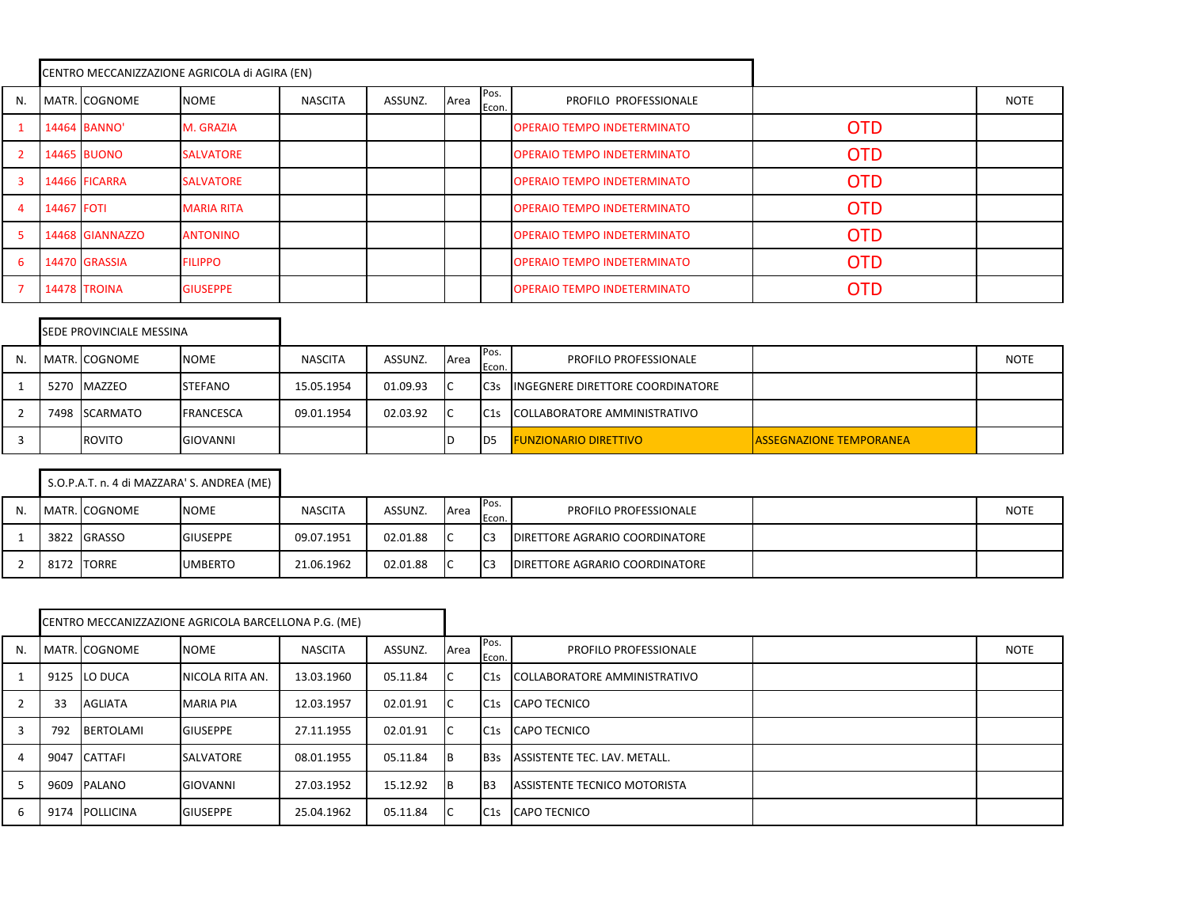|    |            |                     | CENTRO MECCANIZZAZIONE AGRICOLA di AGIRA (EN) |                |         |      |               |                                    |            |      |
|----|------------|---------------------|-----------------------------------------------|----------------|---------|------|---------------|------------------------------------|------------|------|
| N. |            | MATR. COGNOME       | <b>NOME</b>                                   | <b>NASCITA</b> | ASSUNZ. | Area | Pos.<br>Econ. | PROFILO PROFESSIONALE              |            | NOTE |
|    |            | 14464 BANNO'        | M. GRAZIA                                     |                |         |      |               | <b>OPERAIO TEMPO INDETERMINATO</b> | <b>OTD</b> |      |
|    |            | <b>14465 BUONO</b>  | <b>SALVATORE</b>                              |                |         |      |               | <b>OPERAIO TEMPO INDETERMINATO</b> | <b>OTD</b> |      |
|    |            | 14466 FICARRA       | <b>SALVATORE</b>                              |                |         |      |               | <b>OPERAIO TEMPO INDETERMINATO</b> | <b>OTD</b> |      |
|    | 14467 FOTI |                     | <b>MARIA RITA</b>                             |                |         |      |               | <b>OPERAIO TEMPO INDETERMINATO</b> | <b>OTD</b> |      |
|    |            | 14468 GIANNAZZO     | <b>ANTONINO</b>                               |                |         |      |               | <b>OPERAIO TEMPO INDETERMINATO</b> | <b>OTD</b> |      |
| 6  |            | 14470 GRASSIA       | <b>FILIPPO</b>                                |                |         |      |               | <b>OPERAIO TEMPO INDETERMINATO</b> | <b>OTD</b> |      |
|    |            | <b>14478 TROINA</b> | <b>GIUSEPPE</b>                               |                |         |      |               | <b>OPERAIO TEMPO INDETERMINATO</b> | <b>OTD</b> |      |

|    | SEDE PROVINCIALE MESSINA |                  |                |          |      |                   |                                  |                                |             |
|----|--------------------------|------------------|----------------|----------|------|-------------------|----------------------------------|--------------------------------|-------------|
| N. | MATR. COGNOME            | <b>NOME</b>      | <b>NASCITA</b> | ASSUNZ.  | Area | IPos.<br>Econ.    | <b>PROFILO PROFESSIONALE</b>     |                                | <b>NOTE</b> |
|    | 5270 MAZZEO              | <b>STEFANO</b>   | 15.05.1954     | 01.09.93 |      | IC <sub>3</sub> s | INGEGNERE DIRETTORE COORDINATORE |                                |             |
|    | 7498 SCARMATO            | <b>FRANCESCA</b> | 09.01.1954     | 02.03.92 | IС   | C1s               | COLLABORATORE AMMINISTRATIVO     |                                |             |
|    | ROVITO                   | <b>GIOVANNI</b>  |                |          |      | I <sub>D5</sub>   | <b>FUNZIONARIO DIRETTIVO</b>     | <b>ASSEGNAZIONE TEMPORANEA</b> |             |

|    |            |               | S.O.P.A.T. n. 4 di MAZZARA' S. ANDREA (ME) |                |          |      |                 |                                       |             |
|----|------------|---------------|--------------------------------------------|----------------|----------|------|-----------------|---------------------------------------|-------------|
| N. |            | MATR. COGNOME | <b>NOME</b>                                | <b>NASCITA</b> | ASSUNZ.  | Area | Pos.<br>Econ.   | PROFILO PROFESSIONALE                 | <b>NOTE</b> |
|    |            | 3822 GRASSO   | <b>GIUSEPPE</b>                            | 09.07.1951     | 02.01.88 | -lC  | IC <sub>3</sub> | <b>DIRETTORE AGRARIO COORDINATORE</b> |             |
|    | 8172 TORRE |               | <b>UMBERTO</b>                             | 21.06.1962     | 02.01.88 |      | I <sub>C3</sub> | <b>DIRETTORE AGRARIO COORDINATORE</b> |             |

|    |      |                  | CENTRO MECCANIZZAZIONE AGRICOLA BARCELLONA P.G. (ME) |                |          |           |               |                                     |             |
|----|------|------------------|------------------------------------------------------|----------------|----------|-----------|---------------|-------------------------------------|-------------|
| N. |      | MATR. COGNOME    | <b>NOME</b>                                          | <b>NASCITA</b> | ASSUNZ.  | Area      | Pos.<br>Econ. | PROFILO PROFESSIONALE               | <b>NOTE</b> |
|    |      | 9125 LO DUCA     | NICOLA RITA AN.                                      | 13.03.1960     | 05.11.84 | IС        | C1s           | COLLABORATORE AMMINISTRATIVO        |             |
|    | 33   | <b>AGLIATA</b>   | <b>MARIA PIA</b>                                     | 12.03.1957     | 02.01.91 | IС        | C1s           | <b>CAPO TECNICO</b>                 |             |
|    | 792  | <b>BERTOLAMI</b> | <b>GIUSEPPE</b>                                      | 27.11.1955     | 02.01.91 | IС        | C1s           | <b>CAPO TECNICO</b>                 |             |
|    | 9047 | CATTAFI          | <b>SALVATORE</b>                                     | 08.01.1955     | 05.11.84 | Iв        | IB3s          | ASSISTENTE TEC. LAV. METALL.        |             |
|    |      | 9609 PALANO      | <b>GIOVANNI</b>                                      | 27.03.1952     | 15.12.92 | <b>IB</b> | IB3           | <b>ASSISTENTE TECNICO MOTORISTA</b> |             |
| 6  |      | 9174 POLLICINA   | <b>GIUSEPPE</b>                                      | 25.04.1962     | 05.11.84 | IC        | C1s           | <b>CAPO TECNICO</b>                 |             |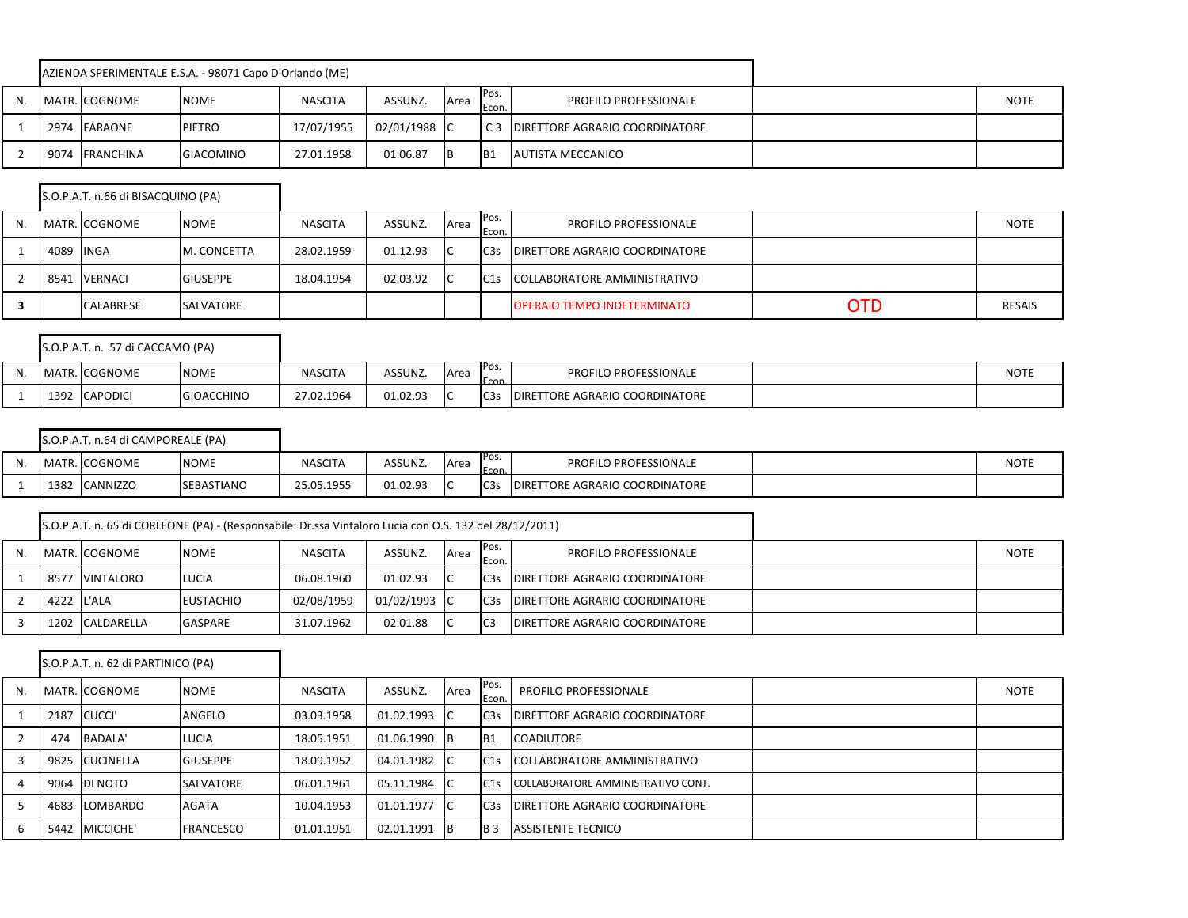|  |                | AZIENDA SPERIMENTALE E.S.A. - 98071 Capo D'Orlando (ME) |                |              |      |                  |                                       |             |
|--|----------------|---------------------------------------------------------|----------------|--------------|------|------------------|---------------------------------------|-------------|
|  | MATR. COGNOME  | <b>NOME</b>                                             | <b>NASCITA</b> | ASSUNZ.      | Area | IPos.<br>Econ.   | <b>PROFILO PROFESSIONALE</b>          | <b>NOTE</b> |
|  | 2974 FARAONE   | <b>PIETRO</b>                                           | 17/07/1955     | 02/01/1988 C |      | $\overline{C}$ 3 | <b>DIRETTORE AGRARIO COORDINATORE</b> |             |
|  | 9074 FRANCHINA | <b>GIACOMINO</b>                                        | 27.01.1958     | 01.06.87     | IВ   | IB1              | <b>AUTISTA MECCANICO</b>              |             |

|    |      | S.O.P.A.T. n.66 di BISACQUINO (PA) |                 |                |          |      |                  |                                       |     |               |
|----|------|------------------------------------|-----------------|----------------|----------|------|------------------|---------------------------------------|-----|---------------|
| N. |      | MATR. COGNOME                      | <b>NOME</b>     | <b>NASCITA</b> | ASSUNZ.  | Area | Pos.<br>Econ.    | <b>PROFILO PROFESSIONALE</b>          |     | <b>NOTE</b>   |
|    | 4089 | <b>INGA</b>                        | M. CONCETTA     | 28.02.1959     | 01.12.93 |      | IC <sub>3s</sub> | <b>DIRETTORE AGRARIO COORDINATORE</b> |     |               |
|    | 8541 | <b>VERNACI</b>                     | <b>GIUSEPPE</b> | 18.04.1954     | 02.03.92 |      | C1s              | COLLABORATORE AMMINISTRATIVO          |     |               |
|    |      | <b>CALABRESE</b>                   | SALVATORE       |                |          |      |                  | <b>OPERAIO TEMPO INDETERMINATO</b>    | OTD | <b>RESAIS</b> |

 $\blacksquare$ 

|    |      | S.O.P.A.T. n. 57 di CACCAMO (PA) |                   |                |          |      |                 |                                       |             |
|----|------|----------------------------------|-------------------|----------------|----------|------|-----------------|---------------------------------------|-------------|
| N. |      | MATR. COGNOME                    | <b>NOME</b>       | <b>NASCITA</b> | ASSUNZ.  | Area | IPos.<br>Econ.  | <b>PROFILO PROFESSIONALE</b>          | <b>NOTE</b> |
|    | 1392 | <b>CAPODICI</b>                  | <b>GIOACCHINO</b> | 27.02.1964     | 01.02.93 |      | C <sub>3s</sub> | <b>DIRETTORE AGRARIO COORDINATORE</b> |             |

|     |      | S.O.P.A.T. n.64 di CAMPOREALE (PA) |                   |                |          |      |                  |                                        |      |
|-----|------|------------------------------------|-------------------|----------------|----------|------|------------------|----------------------------------------|------|
| IV. |      | MATR. COGNOME                      | <b>NOME</b>       | <b>NASCITA</b> | ASSUNZ.  | Area | IPos.<br>Econ    | <b>PROFILO PROFESSIONALE</b>           | NOTE |
|     | 1382 | <b>CANNIZZO</b>                    | <b>SEBASTIANO</b> | 25.05.1955     | 01.02.93 |      | C <sub>3</sub> s | <b>IDIRETTORE AGRARIO COORDINATORE</b> |      |

|            |                  | S.O.P.A.T. n. 65 di CORLEONE (PA) - (Responsabile: Dr.ssa Vintaloro Lucia con O.S. 132 del 28/12/2011) |                |              |      |                   |                                       |             |
|------------|------------------|--------------------------------------------------------------------------------------------------------|----------------|--------------|------|-------------------|---------------------------------------|-------------|
|            | MATR. COGNOME    | <b>NOME</b>                                                                                            | <b>NASCITA</b> | ASSUNZ.      | Area | IPos.<br>Econ.    | <b>PROFILO PROFESSIONALE</b>          | <b>NOTE</b> |
| 8577       | <b>VINTALORO</b> | <b>LUCIA</b>                                                                                           | 06.08.1960     | 01.02.93     |      | IC <sub>3</sub> s | <b>DIRETTORE AGRARIO COORDINATORE</b> |             |
| 4222 L'ALA |                  | <b>EUSTACHIO</b>                                                                                       | 02/08/1959     | 01/02/1993 C |      | IC <sub>35</sub>  | <b>DIRETTORE AGRARIO COORDINATORE</b> |             |
|            | 1202 CALDARELLA  | <b>GASPARE</b>                                                                                         | 31.07.1962     | 02.01.88     |      | IC <sub>3</sub>   | DIRETTORE AGRARIO COORDINATORE        |             |

|    |     | S.O.P.A.T. n. 62 di PARTINICO (PA) |                  |                |            |      |                  |                                        |             |
|----|-----|------------------------------------|------------------|----------------|------------|------|------------------|----------------------------------------|-------------|
| N. |     | MATR. COGNOME                      | <b>NOME</b>      | <b>NASCITA</b> | ASSUNZ.    | Area | Pos.<br>Econ.    | PROFILO PROFESSIONALE                  | <b>NOTE</b> |
|    |     | 2187 CUCCI'                        | ANGELO           | 03.03.1958     | 01.02.1993 |      | C <sub>3</sub> s | <b>DIRETTORE AGRARIO COORDINATORE</b>  |             |
|    | 474 | BADALA'                            | LUCIA            | 18.05.1951     | 01.06.1990 | - IB | IB <sub>1</sub>  | <b>COADIUTORE</b>                      |             |
|    |     | 9825 CUCINELLA                     | <b>GIUSEPPE</b>  | 18.09.1952     | 04.01.1982 |      | IC1s             | COLLABORATORE AMMINISTRATIVO           |             |
|    |     | 9064 DI NOTO                       | <b>SALVATORE</b> | 06.01.1961     | 05.11.1984 |      | IC1s             | COLLABORATORE AMMINISTRATIVO CONT.     |             |
|    |     | 4683 LOMBARDO                      | AGATA            | 10.04.1953     | 01.01.1977 |      | C <sub>3</sub> s | <b>IDIRETTORE AGRARIO COORDINATORE</b> |             |
| 6  |     | 5442 MICCICHE'                     | <b>FRANCESCO</b> | 01.01.1951     | 02.01.1991 | 1B   | IB <sub>3</sub>  | <b>ASSISTENTE TECNICO</b>              |             |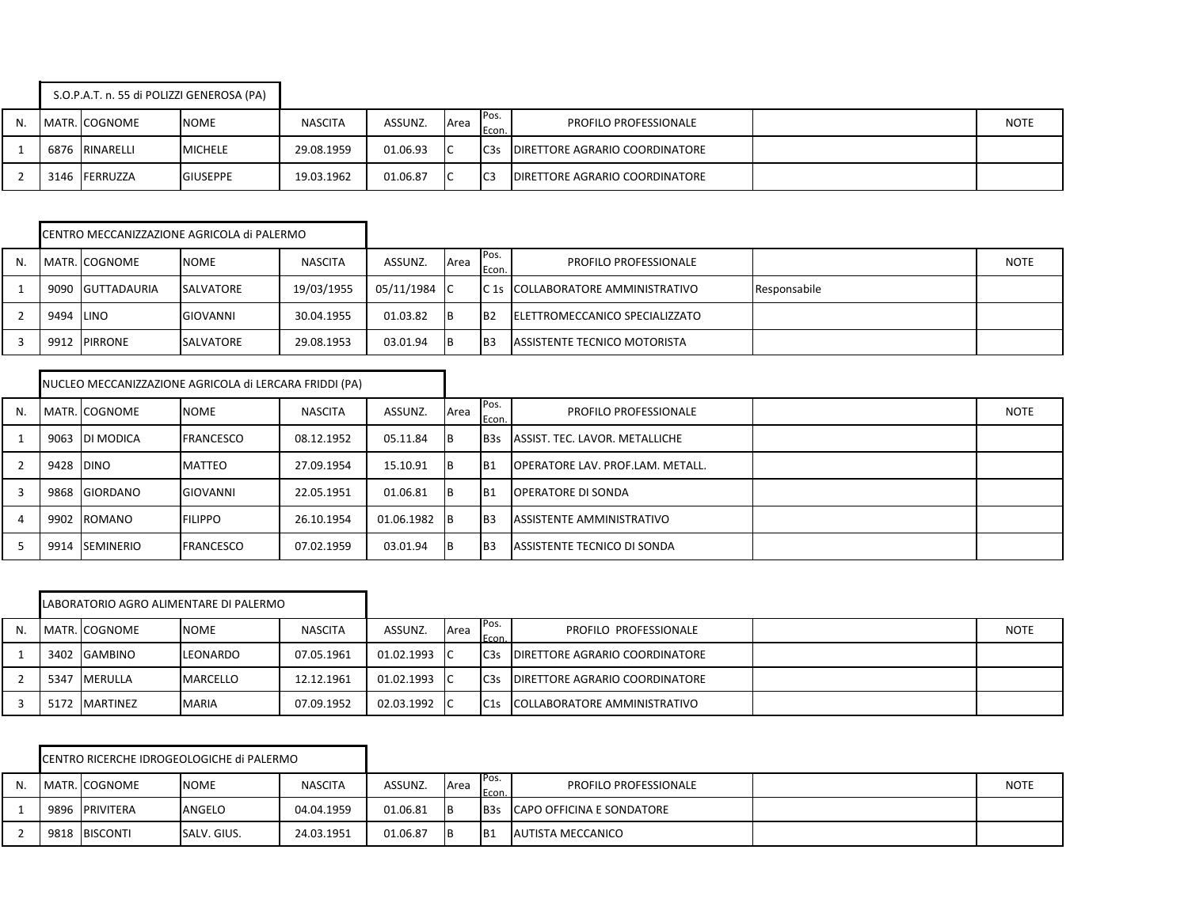|    | S.O.P.A.T. n. 55 di POLIZZI GENEROSA (PA) |                 |                |          |             |                 |                                       |             |
|----|-------------------------------------------|-----------------|----------------|----------|-------------|-----------------|---------------------------------------|-------------|
| N. | MATR. COGNOME                             | <b>NOME</b>     | <b>NASCITA</b> | ASSUNZ.  | <b>Area</b> | IPos.<br>Econ.  | <b>PROFILO PROFESSIONALE</b>          | <b>NOTE</b> |
|    | 6876 RINARELLI                            | <b>MICHELE</b>  | 29.08.1959     | 01.06.93 |             | C <sub>3s</sub> | <b>DIRETTORE AGRARIO COORDINATORE</b> |             |
|    | 3146 FERRUZZA                             | <b>GIUSEPPE</b> | 19.03.1962     | 01.06.87 |             | IC <sub>3</sub> | DIRETTORE AGRARIO COORDINATORE        |             |

|           | CENTRO MECCANIZZAZIONE AGRICOLA di PALERMO |                  |                |              |      |                 |                                        |              |             |
|-----------|--------------------------------------------|------------------|----------------|--------------|------|-----------------|----------------------------------------|--------------|-------------|
|           | MATR. COGNOME                              | <b>NOME</b>      | <b>NASCITA</b> | ASSUNZ.      | Area | Pos.<br>Econ.   | <b>PROFILO PROFESSIONALE</b>           |              | <b>NOTE</b> |
|           | 9090 GUTTADAURIA                           | <b>SALVATORE</b> | 19/03/1955     | 05/11/1984 C |      |                 | IC 1s ICOLLABORATORE AMMINISTRATIVO    | Responsabile |             |
| 9494 LINO |                                            | GIOVANNI         | 30.04.1955     | 01.03.82     | 1B   | I <sub>B2</sub> | <b>IELETTROMECCANICO SPECIALIZZATO</b> |              |             |
|           | 9912 PIRRONE                               | <b>SALVATORE</b> | 29.08.1953     | 03.01.94     | IΒ   | IB <sub>3</sub> | <b>ASSISTENTE TECNICO MOTORISTA</b>    |              |             |

|    |           |                | NUCLEO MECCANIZZAZIONE AGRICOLA di LERCARA FRIDDI (PA) |                |              |      |                 |                                  |             |
|----|-----------|----------------|--------------------------------------------------------|----------------|--------------|------|-----------------|----------------------------------|-------------|
| N. |           | MATR. COGNOME  | <b>NOME</b>                                            | <b>NASCITA</b> | ASSUNZ.      | Area | IPos.<br>Econ.  | <b>PROFILO PROFESSIONALE</b>     | <b>NOTE</b> |
|    |           | 9063 DI MODICA | <b>FRANCESCO</b>                                       | 08.12.1952     | 05.11.84     | 1B   | IB3s            | ASSIST. TEC. LAVOR. METALLICHE   |             |
|    | 9428 DINO |                | <b>MATTEO</b>                                          | 27.09.1954     | 15.10.91     | 1B   | IB <sub>1</sub> | OPERATORE LAV. PROF.LAM. METALL. |             |
|    |           | 9868 GIORDANO  | GIOVANNI                                               | 22.05.1951     | 01.06.81     | 1B   | IB <sub>1</sub> | <b>OPERATORE DI SONDA</b>        |             |
|    |           | 9902 ROMANO    | <b>FILIPPO</b>                                         | 26.10.1954     | 01.06.1982 B |      | IB <sub>3</sub> | ASSISTENTE AMMINISTRATIVO        |             |
|    |           | 9914 SEMINERIO | <b>FRANCESCO</b>                                       | 07.02.1959     | 03.01.94     | 1B   | IB <sub>3</sub> | ASSISTENTE TECNICO DI SONDA      |             |

|    |      |                | LABORATORIO AGRO ALIMENTARE DI PALERMO |                |            |      |                 |                                        |             |
|----|------|----------------|----------------------------------------|----------------|------------|------|-----------------|----------------------------------------|-------------|
| N. |      | MATR. COGNOME  | <b>NOME</b>                            | <b>NASCITA</b> | ASSUNZ.    | Area | IPos.<br>Econ.  | PROFILO PROFESSIONALE                  | <b>NOTE</b> |
|    | 3402 | <b>GAMBINO</b> | LEONARDO                               | 07.05.1961     | 01.02.1993 | -lC  | C <sub>3s</sub> | <b>IDIRETTORE AGRARIO COORDINATORE</b> |             |
|    | 5347 | MERULLA        | MARCELLO                               | 12.12.1961     | 01.02.1993 |      | C <sub>3s</sub> | <b>IDIRETTORE AGRARIO COORDINATORE</b> |             |
|    | 5172 | MARTINEZ       | <b>MARIA</b>                           | 07.09.1952     | 02.03.1992 |      | C1s             | COLLABORATORE AMMINISTRATIVO           |             |

|    | CENTRO RICERCHE IDROGEOLOGICHE di PALERMO |             |                |          |      |                |                               |             |
|----|-------------------------------------------|-------------|----------------|----------|------|----------------|-------------------------------|-------------|
| N. | MATR. COGNOME                             | <b>NOME</b> | <b>NASCITA</b> | ASSUNZ.  | Area | IPos.<br>Econ. | <b>PROFILO PROFESSIONALE</b>  | <b>NOTE</b> |
|    | 9896 PRIVITERA                            | ANGELO      | 04.04.1959     | 01.06.81 | 1B   |                | B3s CAPO OFFICINA E SONDATORE |             |
|    | 9818 BISCONTI                             | SALV. GIUS. | 24.03.1951     | 01.06.87 | 1B   | IB1            | AUTISTA MECCANICO             |             |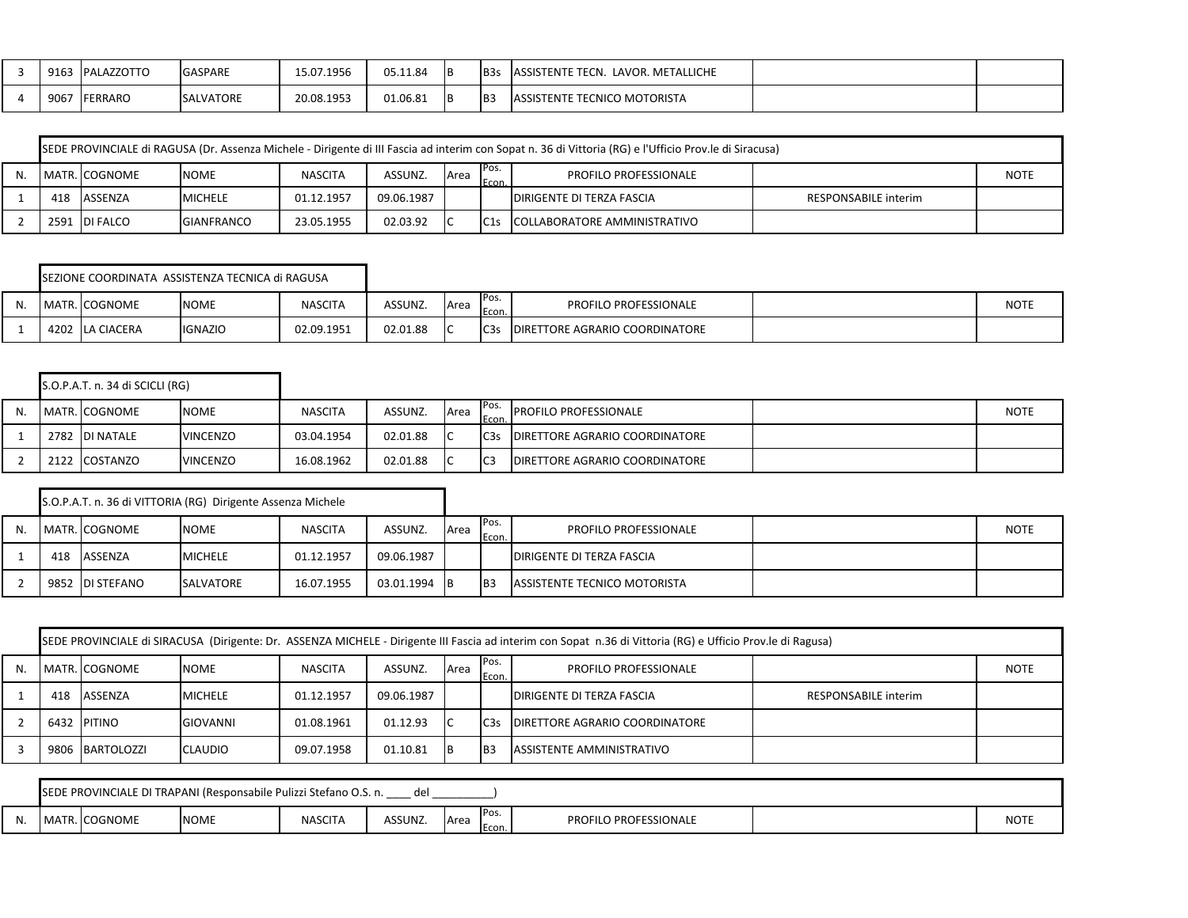| 9163 | ALAZZOTTO     | <b>GASPARE</b>   | 15.07.1956 | 05.11.84 | IΒ | B <sub>3</sub> | ASSISTENTE<br>LAVOR. METALLICHE<br>TECN. |  |
|------|---------------|------------------|------------|----------|----|----------------|------------------------------------------|--|
| 9067 | <b>ERRARO</b> | <b>SALVATORE</b> | 20.08.1953 | 01.06.81 | IΒ | <b>IB</b>      | <b>ASSISTENTE TECNICO MOTORISTA</b>      |  |

| SEDE PROVINCIALE di RAGUSA (Dr. Assenza Michele - Dirigente di III Fascia ad interim con Sopat n. 36 di Vittoria (RG) e l'Ufficio Prov.le di Siracusa) |               |                   |                |            |      |                |                                    |                      |             |  |  |  |  |
|--------------------------------------------------------------------------------------------------------------------------------------------------------|---------------|-------------------|----------------|------------|------|----------------|------------------------------------|----------------------|-------------|--|--|--|--|
|                                                                                                                                                        | MATR. COGNOME | <b>NOME</b>       | <b>NASCITA</b> | ASSUNZ.    | Area | IPos.<br>Econ. | <b>PROFILO PROFESSIONALE</b>       |                      | <b>NOTE</b> |  |  |  |  |
| 418                                                                                                                                                    | ASSENZA       | <b>MICHELE</b>    | 01.12.1957     | 09.06.1987 |      |                | <b>IDIRIGENTE DI TERZA FASCIA</b>  | RESPONSABILE interim |             |  |  |  |  |
|                                                                                                                                                        | 2591 DI FALCO | <b>GIANFRANCO</b> | 23.05.1955     | 02.03.92   |      |                | IC1s ICOLLABORATORE AMMINISTRATIVO |                      |             |  |  |  |  |

|     |                        | SEZIONE COORDINATA ASSISTENZA TECNICA di RAGUSA |                |          |      |                 |                                |             |
|-----|------------------------|-------------------------------------------------|----------------|----------|------|-----------------|--------------------------------|-------------|
| IV. | <b>I MATR. COGNOME</b> | <b>NOME</b>                                     | <b>NASCITA</b> | ASSUNZ.  | Area | Pos.<br>Econ.   | <b>PROFILO PROFESSIONALE</b>   | <b>NOTE</b> |
|     | 4202 LA CIACERA        | <b>IGNAZIO</b>                                  | 02.09.1951     | 02.01.88 | ı    | C <sub>3s</sub> | DIRETTORE AGRARIO COORDINATORE |             |

|    | S.O.P.A.T. n. 34 di SCICLI (RG) |                 |                |          |      |                  |                                        |             |
|----|---------------------------------|-----------------|----------------|----------|------|------------------|----------------------------------------|-------------|
| N. | MATR. COGNOME                   | <b>NOME</b>     | <b>NASCITA</b> | ASSUNZ.  | Area | IPos.<br>Econ.   | <b>IPROFILO PROFESSIONALE</b>          | <b>NOTE</b> |
|    | 2782 DI NATALE                  | <b>VINCENZO</b> | 03.04.1954     | 02.01.88 |      | C <sub>3</sub> s | <b>DIRETTORE AGRARIO COORDINATORE</b>  |             |
|    | 2122 COSTANZO                   | <b>VINCENZO</b> | 16.08.1962     | 02.01.88 |      | IC <sub>3</sub>  | <b>IDIRETTORE AGRARIO COORDINATORE</b> |             |

|    |     |                  | S.O.P.A.T. n. 36 di VITTORIA (RG) Dirigente Assenza Michele |                |              |      |                 |                                  |             |
|----|-----|------------------|-------------------------------------------------------------|----------------|--------------|------|-----------------|----------------------------------|-------------|
| N. |     | MATR. COGNOME    | <b>NOME</b>                                                 | <b>NASCITA</b> | ASSUNZ.      | Area | Pos.<br>Econ.   | <b>PROFILO PROFESSIONALE</b>     | <b>NOTE</b> |
|    | 418 | ASSENZA          | <b>MICHELE</b>                                              | 01.12.1957     | 09.06.1987   |      |                 | <b>DIRIGENTE DI TERZA FASCIA</b> |             |
|    |     | 9852 IDI STEFANO | <b>SALVATORE</b>                                            | 16.07.1955     | 03.01.1994 B |      | I <sub>B3</sub> | ASSISTENTE TECNICO MOTORISTA     |             |

|    | SEDE PROVINCIALE di SIRACUSA (Dirigente: Dr. ASSENZA MICHELE - Dirigente III Fascia ad interim con Sopat n.36 di Vittoria (RG) e Ufficio Prov.le di Ragusa) |                 |                |            |            |    |                 |                                       |                             |  |  |  |  |  |
|----|-------------------------------------------------------------------------------------------------------------------------------------------------------------|-----------------|----------------|------------|------------|----|-----------------|---------------------------------------|-----------------------------|--|--|--|--|--|
| N. | IPos.<br>MATR. COGNOME<br>ASSUNZ.<br><b>NOME</b><br><b>NASCITA</b><br><b>PROFILO PROFESSIONALE</b><br>Area<br>Econ.                                         |                 |                |            |            |    |                 |                                       |                             |  |  |  |  |  |
|    | 418                                                                                                                                                         | ASSENZA         | <b>MICHELE</b> | 01.12.1957 | 09.06.1987 |    |                 | <b>DIRIGENTE DI TERZA FASCIA</b>      | <b>RESPONSABILE interim</b> |  |  |  |  |  |
|    |                                                                                                                                                             | 6432 PITINO     | GIOVANNI       | 01.08.1961 | 01.12.93   | ТC | C <sub>3s</sub> | <b>DIRETTORE AGRARIO COORDINATORE</b> |                             |  |  |  |  |  |
|    |                                                                                                                                                             | 9806 BARTOLOZZI | <b>CLAUDIO</b> | 09.07.1958 | 01.10.81   | 1B | IB <sub>3</sub> | ASSISTENTE AMMINISTRATIVO             |                             |  |  |  |  |  |

|     |                                                | SEDE PROVINCIALE DI TRAPANI (Responsabile Pulizzi Stefano O.S. n. |         | пe            |                       |                              |             |
|-----|------------------------------------------------|-------------------------------------------------------------------|---------|---------------|-----------------------|------------------------------|-------------|
| IN. | $\sim$ $\sim$ $\sim$ $\sim$<br>I MATR. LOGNOME | <b>NOME</b>                                                       | NASCITA | <b>ASSUNZ</b> | Pos.<br>Area<br>Econ. | <b>PROFILO PROFESSIONALE</b> | <b>NOTE</b> |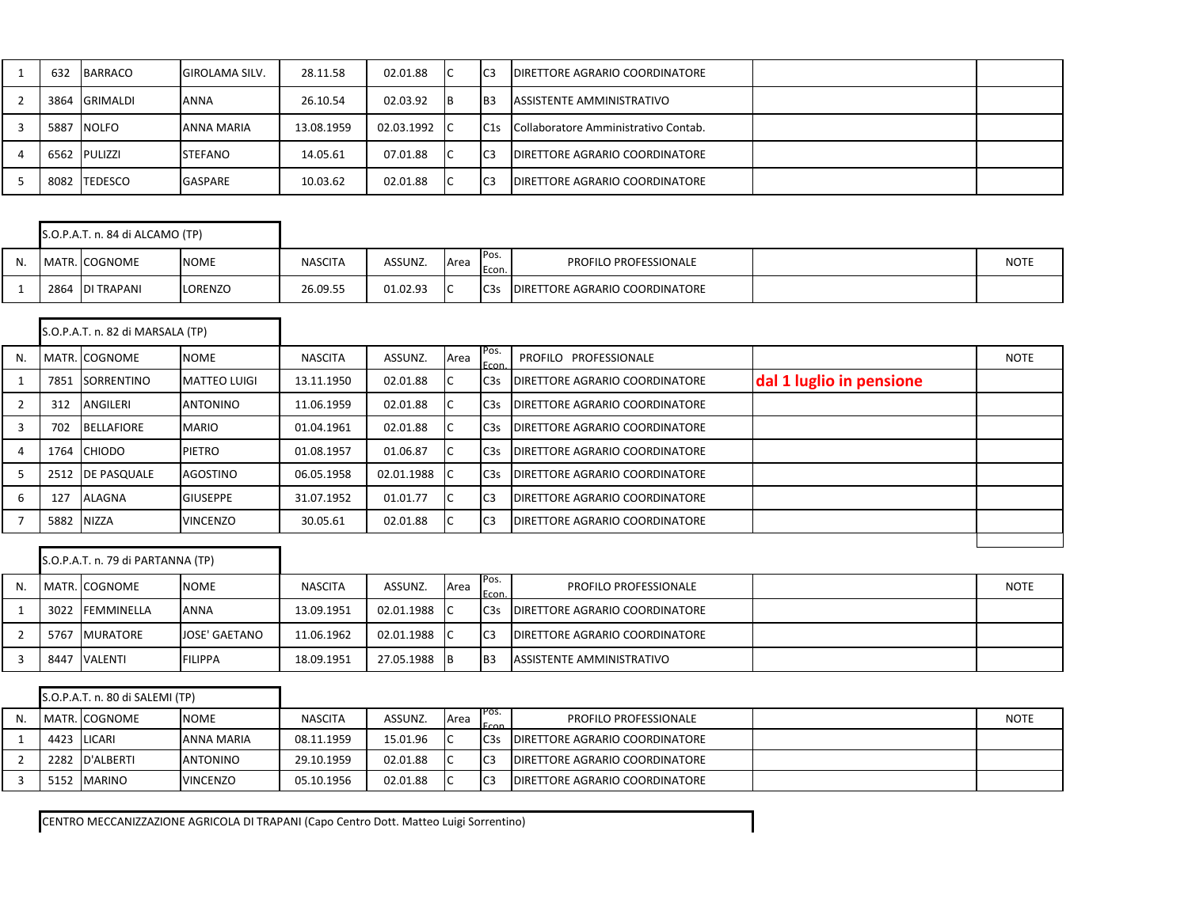| 632  | BARRACO       | <b>GIROLAMA SILV.</b> | 28.11.58   | 02.01.88   | ТC        | I <sub>C3</sub> | <b>DIRETTORE AGRARIO COORDINATORE</b> |  |
|------|---------------|-----------------------|------------|------------|-----------|-----------------|---------------------------------------|--|
|      | 3864 GRIMALDI | ANNA                  | 26.10.54   | 02.03.92   | <b>IB</b> | IB3             | ASSISTENTE AMMINISTRATIVO             |  |
| 5887 | <b>NOLFO</b>  | ANNA MARIA            | 13.08.1959 | 02.03.1992 | - IC      | C1s             | Collaboratore Amministrativo Contab.  |  |
|      | 6562 PULIZZI  | <b>STEFANO</b>        | 14.05.61   | 07.01.88   | IC.       | IC <sub>3</sub> | <b>DIRETTORE AGRARIO COORDINATORE</b> |  |
|      | 8082 TEDESCO  | <b>GASPARE</b>        | 10.03.62   | 02.01.88   | 1C        | I <sub>C3</sub> | <b>DIRETTORE AGRARIO COORDINATORE</b> |  |

|  | S.O.P.A.T. n. 84 di ALCAMO (TP) |             |                |          |      |                   |                                        |             |
|--|---------------------------------|-------------|----------------|----------|------|-------------------|----------------------------------------|-------------|
|  | MATR. COGNOME                   | <b>NOME</b> | <b>NASCITA</b> | ASSUNZ.  | Area | IPos.<br>Econ.    | <b>PROFILO PROFESSIONALE</b>           | <b>NOTE</b> |
|  | 2864 DI TRAPANI                 | LORENZO     | 26.09.55       | 01.02.93 |      | IC <sub>3</sub> s | <b>IDIRETTORE AGRARIO COORDINATORE</b> |             |

|    |            | S.O.P.A.T. n. 82 di MARSALA (TP) |                     |                |            |      |                |                                       |                          |             |
|----|------------|----------------------------------|---------------------|----------------|------------|------|----------------|---------------------------------------|--------------------------|-------------|
| N. |            | MATR. COGNOME                    | <b>NOME</b>         | <b>NASCITA</b> | ASSUNZ.    | Area | Pos.<br>Econ.  | PROFILO PROFESSIONALE                 |                          | <b>NOTE</b> |
|    | 7851       | SORRENTINO                       | <b>MATTEO LUIGI</b> | 13.11.1950     | 02.01.88   |      | C3s            | <b>DIRETTORE AGRARIO COORDINATORE</b> | dal 1 luglio in pensione |             |
|    | 312        | ANGILERI                         | <b>ANTONINO</b>     | 11.06.1959     | 02.01.88   |      | C3s            | <b>DIRETTORE AGRARIO COORDINATORE</b> |                          |             |
|    | 702        | <b>BELLAFIORE</b>                | <b>MARIO</b>        | 01.04.1961     | 02.01.88   |      | C3s            | <b>DIRETTORE AGRARIO COORDINATORE</b> |                          |             |
|    |            | 1764 CHIODO                      | <b>PIETRO</b>       | 01.08.1957     | 01.06.87   |      | C3s            | <b>DIRETTORE AGRARIO COORDINATORE</b> |                          |             |
|    |            | 2512 IDE PASQUALE                | AGOSTINO            | 06.05.1958     | 02.01.1988 |      | C3s            | <b>DIRETTORE AGRARIO COORDINATORE</b> |                          |             |
| 6  | 127        | ALAGNA                           | <b>GIUSEPPE</b>     | 31.07.1952     | 01.01.77   |      | C <sub>3</sub> | <b>DIRETTORE AGRARIO COORDINATORE</b> |                          |             |
|    | 5882 NIZZA |                                  | <b>VINCENZO</b>     | 30.05.61       | 02.01.88   |      | C <sub>3</sub> | <b>DIRETTORE AGRARIO COORDINATORE</b> |                          |             |
|    |            |                                  |                     |                |            |      |                |                                       |                          |             |

|    |      | S.O.P.A.T. n. 79 di PARTANNA (TP) |                      |                |            |                |                 |                                       |             |
|----|------|-----------------------------------|----------------------|----------------|------------|----------------|-----------------|---------------------------------------|-------------|
| N. |      | MATR. COGNOME                     | <b>NOME</b>          | <b>NASCITA</b> | ASSUNZ.    | Area           | Pos.<br>Econ.   | <b>PROFILO PROFESSIONALE</b>          | <b>NOTE</b> |
|    |      | 3022 FEMMINELLA                   | <b>ANNA</b>          | 13.09.1951     | 02.01.1988 | $\overline{C}$ | C <sub>3s</sub> | <b>DIRETTORE AGRARIO COORDINATORE</b> |             |
|    | 5767 | <b>MURATORE</b>                   | <b>JOSE' GAETANO</b> | 11.06.1962     | 02.01.1988 | $\sqrt{ }$     | I <sub>C3</sub> | <b>DIRETTORE AGRARIO COORDINATORE</b> |             |
|    | 8447 | VALENTI                           | <b>FILIPPA</b>       | 18.09.1951     | 27.05.1988 | - IB           | I <sub>B3</sub> | ASSISTENTE AMMINISTRATIVO             |             |

|    | S.O.P.A.T. n. 80 di SALEMI (TP) |                   |                |          |              |                      |                                        |             |
|----|---------------------------------|-------------------|----------------|----------|--------------|----------------------|----------------------------------------|-------------|
| N. | MATR. COGNOME                   | <b>NOME</b>       | <b>NASCITA</b> | ASSUNZ.  | <b>A</b> rea | IPOS.<br><b>Econ</b> | <b>PROFILO PROFESSIONALE</b>           | <b>NOTE</b> |
|    | 4423 LICARI                     | <b>ANNA MARIA</b> | 08.11.1959     | 15.01.96 |              | C <sub>3s</sub>      | <b>DIRETTORE AGRARIO COORDINATORE</b>  |             |
|    | 2282 D'ALBERTI                  | <b>ANTONINO</b>   | 29.10.1959     | 02.01.88 |              | IC <sub>3</sub>      | <b>IDIRETTORE AGRARIO COORDINATORE</b> |             |
|    | 5152 MARINO                     | <b>VINCENZO</b>   | 05.10.1956     | 02.01.88 |              | IC <sub>3</sub>      | <b>IDIRETTORE AGRARIO COORDINATORE</b> |             |

CENTRO MECCANIZZAZIONE AGRICOLA DI TRAPANI (Capo Centro Dott. Matteo Luigi Sorrentino)